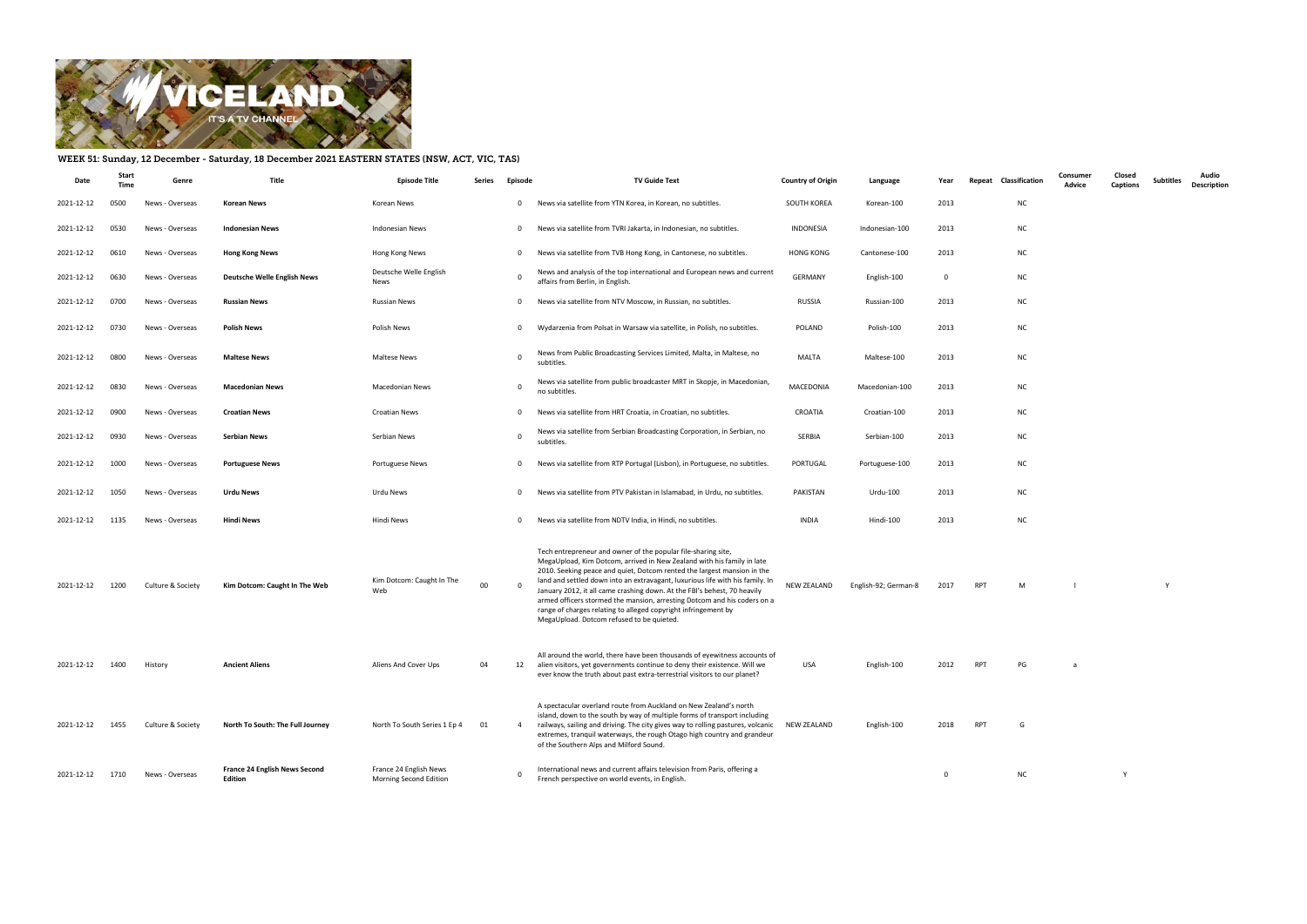

## WEEK 51: Sunday, 12 December - Saturday, 18 December 2021 EASTERN STATES (NSW, ACT, VIC, TAS)

| Date            | Start<br>Time | Genre             | Title                                           | <b>Episode Title</b>                             | Series | Episode     | <b>TV Guide Text</b>                                                                                                                                                                                                                                                                                                                                                                                                                                                                                                                                                       | <b>Country of Origin</b> | Language             | Year           | Repeat Classification | Consumer<br>Advice | Closed<br>Captions | Subtitles | Audio<br><b>Description</b> |
|-----------------|---------------|-------------------|-------------------------------------------------|--------------------------------------------------|--------|-------------|----------------------------------------------------------------------------------------------------------------------------------------------------------------------------------------------------------------------------------------------------------------------------------------------------------------------------------------------------------------------------------------------------------------------------------------------------------------------------------------------------------------------------------------------------------------------------|--------------------------|----------------------|----------------|-----------------------|--------------------|--------------------|-----------|-----------------------------|
| 2021-12-12      | 0500          | News - Overseas   | Korean News                                     | Korean News                                      |        | $\mathbf 0$ | News via satellite from YTN Korea, in Korean, no subtitles.                                                                                                                                                                                                                                                                                                                                                                                                                                                                                                                | SOUTH KOREA              | Korean-100           | 2013           | <b>NC</b>             |                    |                    |           |                             |
| 2021-12-12      | 0530          | News - Overseas   | <b>Indonesian News</b>                          | Indonesian News                                  |        | $\mathbf 0$ | News via satellite from TVRI Jakarta, in Indonesian, no subtitles.                                                                                                                                                                                                                                                                                                                                                                                                                                                                                                         | INDONESIA                | Indonesian-100       | 2013           | <b>NC</b>             |                    |                    |           |                             |
| 2021-12-12      | 0610          | News - Overseas   | <b>Hong Kong News</b>                           | Hong Kong News                                   |        | $\mathbf 0$ | News via satellite from TVB Hong Kong, in Cantonese, no subtitles.                                                                                                                                                                                                                                                                                                                                                                                                                                                                                                         | <b>HONG KONG</b>         | Cantonese-100        | 2013           | <b>NC</b>             |                    |                    |           |                             |
| 2021-12-12      | 0630          | News - Overseas   | <b>Deutsche Welle English News</b>              | Deutsche Welle English<br>News                   |        | $\Omega$    | News and analysis of the top international and European news and current<br>affairs from Berlin, in English.                                                                                                                                                                                                                                                                                                                                                                                                                                                               | <b>GERMANY</b>           | English-100          | $\overline{0}$ | <b>NC</b>             |                    |                    |           |                             |
| 2021-12-12      | 0700          | News - Overseas   | <b>Russian News</b>                             | <b>Russian News</b>                              |        | $\mathbf 0$ | News via satellite from NTV Moscow, in Russian, no subtitles.                                                                                                                                                                                                                                                                                                                                                                                                                                                                                                              | RUSSIA                   | Russian-100          | 2013           | <b>NC</b>             |                    |                    |           |                             |
| 2021-12-12      | 0730          | News - Overseas   | <b>Polish News</b>                              | Polish News                                      |        | $\mathbf 0$ | Wydarzenia from Polsat in Warsaw via satellite, in Polish, no subtitles.                                                                                                                                                                                                                                                                                                                                                                                                                                                                                                   | POLAND                   | Polish-100           | 2013           | <b>NC</b>             |                    |                    |           |                             |
| 2021-12-12      | 0800          | News - Overseas   | <b>Maltese News</b>                             | Maltese News                                     |        | $\Omega$    | News from Public Broadcasting Services Limited, Malta, in Maltese, no<br>subtitles.                                                                                                                                                                                                                                                                                                                                                                                                                                                                                        | MALTA                    | Maltese-100          | 2013           | <b>NC</b>             |                    |                    |           |                             |
| 2021-12-12      | 0830          | News - Overseas   | <b>Macedonian News</b>                          | Macedonian News                                  |        | $\Omega$    | News via satellite from public broadcaster MRT in Skopje, in Macedonian,<br>no subtitles.                                                                                                                                                                                                                                                                                                                                                                                                                                                                                  | MACEDONIA                | Macedonian-100       | 2013           | <b>NC</b>             |                    |                    |           |                             |
| 2021-12-12      | 0900          | News - Overseas   | <b>Croatian News</b>                            | Croatian News                                    |        | $\mathbf 0$ | News via satellite from HRT Croatia, in Croatian, no subtitles.                                                                                                                                                                                                                                                                                                                                                                                                                                                                                                            | CROATIA                  | Croatian-100         | 2013           | <b>NC</b>             |                    |                    |           |                             |
| 2021-12-12      | 0930          | News - Overseas   | <b>Serbian News</b>                             | Serbian News                                     |        | $\Omega$    | News via satellite from Serbian Broadcasting Corporation, in Serbian, no<br>subtitles.                                                                                                                                                                                                                                                                                                                                                                                                                                                                                     | SERBIA                   | Serbian-100          | 2013           | <b>NC</b>             |                    |                    |           |                             |
| 2021-12-12      | 1000          | News - Overseas   | <b>Portuguese News</b>                          | Portuguese News                                  |        | $\mathbf 0$ | News via satellite from RTP Portugal (Lisbon), in Portuguese, no subtitles.                                                                                                                                                                                                                                                                                                                                                                                                                                                                                                | PORTUGAL                 | Portuguese-100       | 2013           | <b>NC</b>             |                    |                    |           |                             |
| 2021-12-12      | 1050          | News - Overseas   | <b>Urdu News</b>                                | Urdu News                                        |        | $\mathbf 0$ | News via satellite from PTV Pakistan in Islamabad, in Urdu, no subtitles.                                                                                                                                                                                                                                                                                                                                                                                                                                                                                                  | PAKISTAN                 | Urdu-100             | 2013           | <b>NC</b>             |                    |                    |           |                             |
| 2021-12-12      | 1135          | News - Overseas   | <b>Hindi News</b>                               | Hindi News                                       |        | $\mathbf 0$ | News via satellite from NDTV India, in Hindi, no subtitles.                                                                                                                                                                                                                                                                                                                                                                                                                                                                                                                | INDIA                    | Hindi-100            | 2013           | <b>NC</b>             |                    |                    |           |                             |
| 2021-12-12      | 1200          | Culture & Society | Kim Dotcom: Caught In The Web                   | Kim Dotcom: Caught In The<br>Web                 | 00     | - 0         | Tech entrepreneur and owner of the popular file-sharing site,<br>MegaUpload, Kim Dotcom, arrived in New Zealand with his family in late<br>2010. Seeking peace and quiet, Dotcom rented the largest mansion in the<br>land and settled down into an extravagant, luxurious life with his family. In<br>January 2012, it all came crashing down. At the FBI's behest, 70 heavily<br>armed officers stormed the mansion, arresting Dotcom and his coders on a<br>range of charges relating to alleged copyright infringement by<br>MegaUpload. Dotcom refused to be quieted. | NEW ZEALAND              | English-92; German-8 | 2017           | RPT<br>M              |                    |                    | Y         |                             |
| 2021-12-12 1400 |               | History           | <b>Ancient Aliens</b>                           | Aliens And Cover Ups                             | 04     |             | All around the world, there have been thousands of eyewitness accounts of<br>12 alien visitors, yet governments continue to deny their existence. Will we<br>ever know the truth about past extra-terrestrial visitors to our planet?                                                                                                                                                                                                                                                                                                                                      | USA                      | English-100          | 2012           | RPT<br>PG             |                    |                    |           |                             |
| 2021-12-12      | 1455          | Culture & Society | North To South: The Full Journey                | North To South Series 1 Ep 4                     | 01     | 4           | A spectacular overland route from Auckland on New Zealand's north<br>island, down to the south by way of multiple forms of transport including<br>railways, sailing and driving. The city gives way to rolling pastures, volcanic<br>extremes, tranquil waterways, the rough Otago high country and grandeur<br>of the Southern Alps and Milford Sound.                                                                                                                                                                                                                    | NEW ZEALAND              | English-100          | 2018           | RPT<br>G              |                    |                    |           |                             |
| 2021-12-12      | 1710          | News - Overseas   | <b>France 24 English News Second</b><br>Edition | France 24 English News<br>Morning Second Edition |        |             | International news and current affairs television from Paris, offering a<br>French perspective on world events, in English.                                                                                                                                                                                                                                                                                                                                                                                                                                                |                          |                      | $\mathbf{0}$   | <b>NC</b>             |                    | Y                  |           |                             |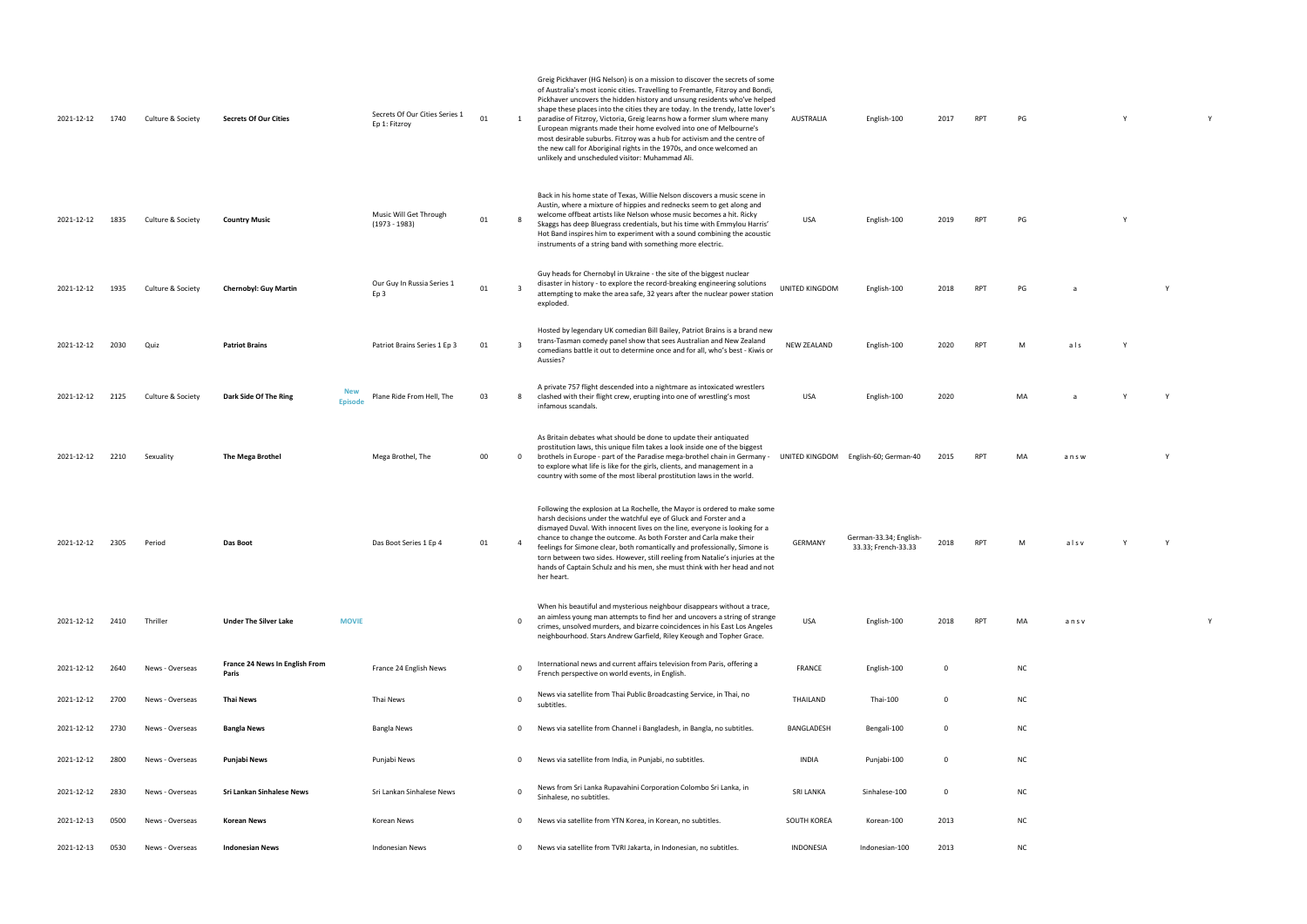| 100 2017 RPT PG |  | Y Y |  |
|-----------------|--|-----|--|
|                 |  |     |  |
|                 |  |     |  |

RPT PG Y

UNITED AIRPT PG and the Microsoft of the Microsoft of the Window Policy of the Window Policy of the Window Poli<br>The Microsoft of the Window Policy of the Window Policy of the Window Policy of the Window Policy of the Windo

RPT M als Y

USA English-100 2020 MA a Y Y RPT MA an s w Y

33.33 RPT M alsv Y Y

PT MA an s v Y Y

| 2021-12-12 | 1740 | Culture & Society | <b>Secrets Of Our Cities</b>                          | Secrets Of Our Cities Series 1<br>Ep 1: Fitzroy | 01 | 1            | Greig Pickhaver (HG Nelson) is on a mission to discover the secrets of some<br>of Australia's most iconic cities. Travelling to Fremantle, Fitzroy and Bondi,<br>Pickhaver uncovers the hidden history and unsung residents who've helped<br>shape these places into the cities they are today. In the trendy, latte lover's<br>paradise of Fitzroy, Victoria, Greig learns how a former slum where many<br>European migrants made their home evolved into one of Melbourne's<br>most desirable suburbs. Fitzroy was a hub for activism and the centre of<br>the new call for Aboriginal rights in the 1970s, and once welcomed an<br>unlikely and unscheduled visitor: Muhammad Ali. | AUSTRALIA             | English-100                                   | 2017        | <b>RPT</b> | PG             |
|------------|------|-------------------|-------------------------------------------------------|-------------------------------------------------|----|--------------|---------------------------------------------------------------------------------------------------------------------------------------------------------------------------------------------------------------------------------------------------------------------------------------------------------------------------------------------------------------------------------------------------------------------------------------------------------------------------------------------------------------------------------------------------------------------------------------------------------------------------------------------------------------------------------------|-----------------------|-----------------------------------------------|-------------|------------|----------------|
| 2021-12-12 | 1835 | Culture & Society | <b>Country Music</b>                                  | Music Will Get Through<br>$(1973 - 1983)$       | 01 | 8            | Back in his home state of Texas, Willie Nelson discovers a music scene in<br>Austin, where a mixture of hippies and rednecks seem to get along and<br>welcome offbeat artists like Nelson whose music becomes a hit. Ricky<br>Skaggs has deep Bluegrass credentials, but his time with Emmylou Harris'<br>Hot Band inspires him to experiment with a sound combining the acoustic<br>instruments of a string band with something more electric.                                                                                                                                                                                                                                       | USA                   | English-100                                   | 2019        | <b>RPT</b> | PG             |
| 2021-12-12 | 1935 | Culture & Society | <b>Chernobyl: Guy Martin</b>                          | Our Guy In Russia Series 1<br>Ep 3              | 01 | 3            | Guy heads for Chernobyl in Ukraine - the site of the biggest nuclear<br>disaster in history - to explore the record-breaking engineering solutions<br>attempting to make the area safe, 32 years after the nuclear power station<br>exploded.                                                                                                                                                                                                                                                                                                                                                                                                                                         | <b>UNITED KINGDOM</b> | English-100                                   | 2018        | <b>RPT</b> | PG             |
| 2021-12-12 | 2030 | Quiz              | <b>Patriot Brains</b>                                 | Patriot Brains Series 1 Ep 3                    | 01 | 3            | Hosted by legendary UK comedian Bill Bailey, Patriot Brains is a brand new<br>trans-Tasman comedy panel show that sees Australian and New Zealand<br>comedians battle it out to determine once and for all, who's best - Kiwis or<br>Aussies?                                                                                                                                                                                                                                                                                                                                                                                                                                         | <b>NEW ZEALAND</b>    | English-100                                   | 2020        | <b>RPT</b> | М              |
| 2021-12-12 | 2125 | Culture & Society | <b>New</b><br>Dark Side Of The Ring<br><b>Episode</b> | Plane Ride From Hell, The                       | 03 | 8            | A private 757 flight descended into a nightmare as intoxicated wrestlers<br>clashed with their flight crew, erupting into one of wrestling's most<br>infamous scandals.                                                                                                                                                                                                                                                                                                                                                                                                                                                                                                               | USA                   | English-100                                   | 2020        |            | M/             |
| 2021-12-12 | 2210 | Sexuality         | The Mega Brothel                                      | Mega Brothel, The                               | 00 | $\mathbf 0$  | As Britain debates what should be done to update their antiquated<br>prostitution laws, this unique film takes a look inside one of the biggest<br>brothels in Europe - part of the Paradise mega-brothel chain in Germany<br>to explore what life is like for the girls, clients, and management in a<br>country with some of the most liberal prostitution laws in the world.                                                                                                                                                                                                                                                                                                       |                       | UNITED KINGDOM English-60; German-40          | 2015        | <b>RPT</b> |                |
| 2021-12-12 | 2305 | Period            | Das Boot                                              | Das Boot Series 1 Ep 4                          | 01 | 4            | Following the explosion at La Rochelle, the Mayor is ordered to make some<br>harsh decisions under the watchful eye of Gluck and Forster and a<br>dismayed Duval. With innocent lives on the line, everyone is looking for a<br>chance to change the outcome. As both Forster and Carla make their<br>feelings for Simone clear, both romantically and professionally, Simone is<br>torn between two sides. However, still reeling from Natalie's injuries at the<br>hands of Captain Schulz and his men, she must think with her head and not<br>her heart.                                                                                                                          | <b>GERMANY</b>        | German-33.34; English-<br>33.33; French-33.33 | 2018        | <b>RPT</b> |                |
| 2021-12-12 | 2410 | Thriller          | <b>MOVIE</b><br><b>Under The Silver Lake</b>          |                                                 |    | $\Omega$     | When his beautiful and mysterious neighbour disappears without a trace,<br>an aimless young man attempts to find her and uncovers a string of strange<br>crimes, unsolved murders, and bizarre coincidences in his East Los Angeles<br>neighbourhood. Stars Andrew Garfield, Riley Keough and Topher Grace.                                                                                                                                                                                                                                                                                                                                                                           | USA                   | English-100                                   | 2018        | <b>RPT</b> | M              |
| 2021-12-12 | 2640 | News - Overseas   | France 24 News In English From<br>Paris               | France 24 English News                          |    | 0            | International news and current affairs television from Paris, offering a<br>French perspective on world events, in English.                                                                                                                                                                                                                                                                                                                                                                                                                                                                                                                                                           | <b>FRANCE</b>         | English-100                                   | 0           |            | N0             |
| 2021-12-12 | 2700 | News - Overseas   | Thai News                                             | Thai News                                       |    | 0            | News via satellite from Thai Public Broadcasting Service, in Thai, no<br>subtitles.                                                                                                                                                                                                                                                                                                                                                                                                                                                                                                                                                                                                   | THAILAND              | Thai-100                                      | 0           |            | N0             |
| 2021-12-12 | 2730 | News - Overseas   | <b>Bangla News</b>                                    | Bangla News                                     |    | 0            | News via satellite from Channel i Bangladesh, in Bangla, no subtitles.                                                                                                                                                                                                                                                                                                                                                                                                                                                                                                                                                                                                                | BANGLADESH            | Bengali-100                                   | 0           |            | N0             |
| 2021-12-12 | 2800 | News - Overseas   | Punjabi News                                          | Punjabi News                                    |    | 0            | News via satellite from India, in Punjabi, no subtitles.                                                                                                                                                                                                                                                                                                                                                                                                                                                                                                                                                                                                                              | <b>INDIA</b>          | Punjabi-100                                   | $\mathbf 0$ |            | N0             |
| 2021-12-12 | 2830 | News - Overseas   | Sri Lankan Sinhalese News                             | Sri Lankan Sinhalese News                       |    | $\mathbf 0$  | News from Sri Lanka Rupavahini Corporation Colombo Sri Lanka, in<br>Sinhalese, no subtitles.                                                                                                                                                                                                                                                                                                                                                                                                                                                                                                                                                                                          | <b>SRI LANKA</b>      | Sinhalese-100                                 | 0           |            | N0             |
| 2021-12-13 | 0500 | News - Overseas   | <b>Korean News</b>                                    | Korean News                                     |    | 0            | News via satellite from YTN Korea, in Korean, no subtitles.                                                                                                                                                                                                                                                                                                                                                                                                                                                                                                                                                                                                                           | SOUTH KOREA           | Korean-100                                    | 2013        |            | N0             |
| 2021-12-13 | 0530 | News - Overseas   | <b>Indonesian News</b>                                | <b>Indonesian News</b>                          |    | $\mathbf{0}$ | News via satellite from TVRI Jakarta, in Indonesian, no subtitles.                                                                                                                                                                                                                                                                                                                                                                                                                                                                                                                                                                                                                    | INDONESIA             | Indonesian-100                                | 2013        |            | N <sub>C</sub> |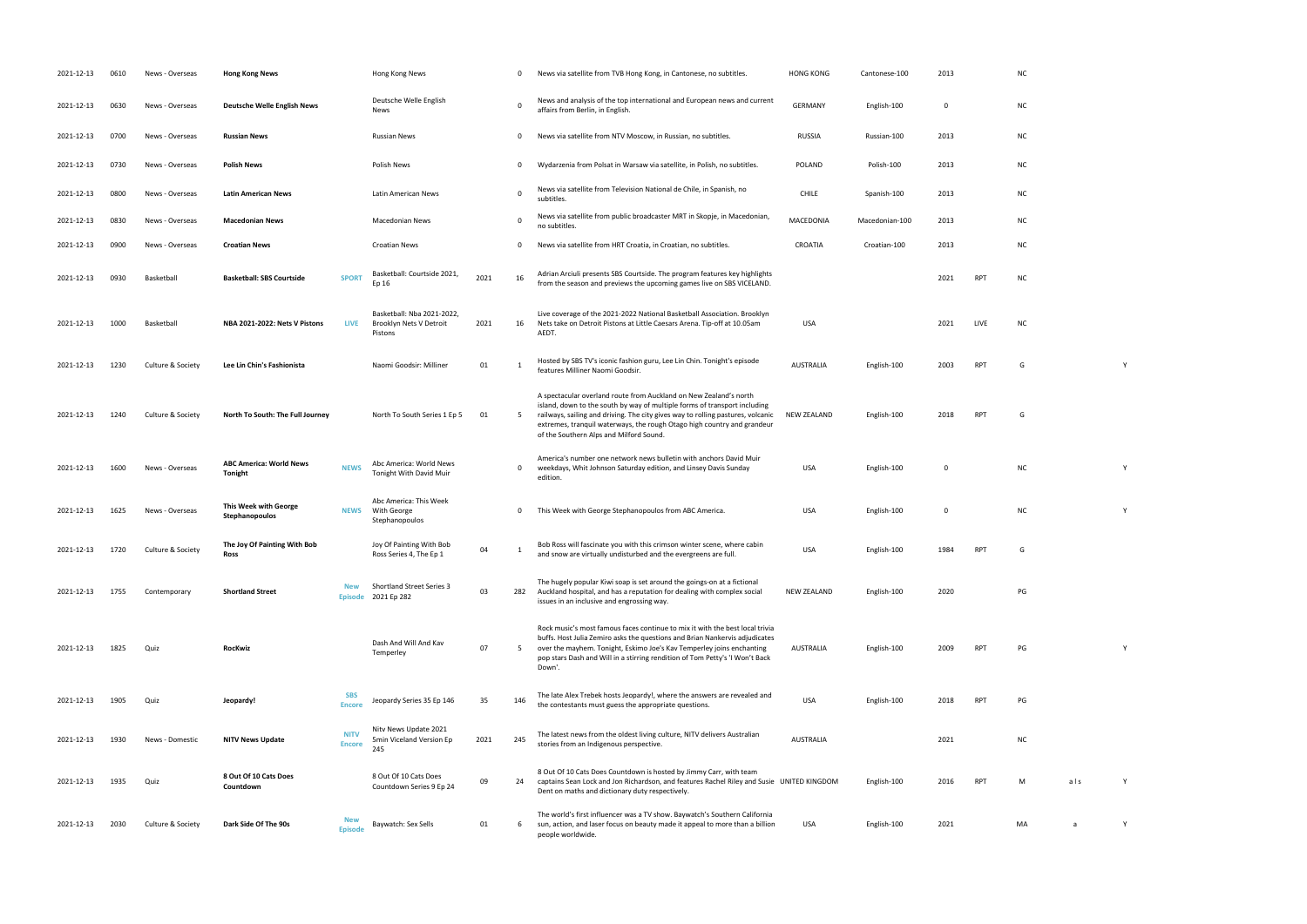| 2021-12-13 | 0610 | News - Overseas   | <b>Hong Kong News</b>                          |                              | Hong Kong News                                                   |      | 0           | News via satellite from TVB Hong Kong, in Cantonese, no subtitles.                                                                                                                                                                                                                                                                                      | <b>HONG KONG</b>   | Cantonese-100  | 2013 |            | NC        |     |   |
|------------|------|-------------------|------------------------------------------------|------------------------------|------------------------------------------------------------------|------|-------------|---------------------------------------------------------------------------------------------------------------------------------------------------------------------------------------------------------------------------------------------------------------------------------------------------------------------------------------------------------|--------------------|----------------|------|------------|-----------|-----|---|
| 2021-12-13 | 0630 | News - Overseas   | <b>Deutsche Welle English News</b>             |                              | Deutsche Welle English<br>News                                   |      | 0           | News and analysis of the top international and European news and current<br>affairs from Berlin, in English.                                                                                                                                                                                                                                            | <b>GERMANY</b>     | English-100    | 0    |            | <b>NC</b> |     |   |
| 2021-12-13 | 0700 | News - Overseas   | <b>Russian News</b>                            |                              | <b>Russian News</b>                                              |      | 0           | News via satellite from NTV Moscow, in Russian, no subtitles.                                                                                                                                                                                                                                                                                           | <b>RUSSIA</b>      | Russian-100    | 2013 |            | <b>NC</b> |     |   |
| 2021-12-13 | 0730 | News - Overseas   | <b>Polish News</b>                             |                              | Polish News                                                      |      | 0           | Wydarzenia from Polsat in Warsaw via satellite, in Polish, no subtitles.                                                                                                                                                                                                                                                                                | POLAND             | Polish-100     | 2013 |            | <b>NC</b> |     |   |
| 2021-12-13 | 0800 | News - Overseas   | <b>Latin American News</b>                     |                              | Latin American News                                              |      | 0           | News via satellite from Television National de Chile, in Spanish, no<br>subtitles.                                                                                                                                                                                                                                                                      | <b>CHILE</b>       | Spanish-100    | 2013 |            | NC        |     |   |
| 2021-12-13 | 0830 | News - Overseas   | <b>Macedonian News</b>                         |                              | <b>Macedonian News</b>                                           |      | 0           | News via satellite from public broadcaster MRT in Skopje, in Macedonian,<br>no subtitles.                                                                                                                                                                                                                                                               | MACEDONIA          | Macedonian-100 | 2013 |            | <b>NC</b> |     |   |
| 2021-12-13 | 0900 | News - Overseas   | <b>Croatian News</b>                           |                              | <b>Croatian News</b>                                             |      | 0           | News via satellite from HRT Croatia, in Croatian, no subtitles.                                                                                                                                                                                                                                                                                         | CROATIA            | Croatian-100   | 2013 |            | NC        |     |   |
| 2021-12-13 | 0930 | Basketball        | <b>Basketball: SBS Courtside</b>               | <b>SPORT</b>                 | Basketball: Courtside 2021,<br>Ep 16                             | 2021 | 16          | Adrian Arciuli presents SBS Courtside. The program features key highlights<br>from the season and previews the upcoming games live on SBS VICELAND.                                                                                                                                                                                                     |                    |                | 2021 | <b>RPT</b> | <b>NC</b> |     |   |
| 2021-12-13 | 1000 | Basketball        | NBA 2021-2022: Nets V Pistons                  | LIVE                         | Basketball: Nba 2021-2022,<br>Brooklyn Nets V Detroit<br>Pistons | 2021 | 16          | Live coverage of the 2021-2022 National Basketball Association. Brooklyn<br>Nets take on Detroit Pistons at Little Caesars Arena. Tip-off at 10.05am<br>AEDT.                                                                                                                                                                                           | USA                |                | 2021 | LIVE       | <b>NC</b> |     |   |
| 2021-12-13 | 1230 | Culture & Society | Lee Lin Chin's Fashionista                     |                              | Naomi Goodsir: Milliner                                          | 01   | - 1         | Hosted by SBS TV's iconic fashion guru, Lee Lin Chin. Tonight's episode<br>features Milliner Naomi Goodsir.                                                                                                                                                                                                                                             | AUSTRALIA          | English-100    | 2003 | <b>RPT</b> | G         |     | Y |
| 2021-12-13 | 1240 | Culture & Society | North To South: The Full Journey               |                              | North To South Series 1 Ep 5                                     | 01   | 5           | A spectacular overland route from Auckland on New Zealand's north<br>island, down to the south by way of multiple forms of transport including<br>railways, sailing and driving. The city gives way to rolling pastures, volcanic<br>extremes, tranquil waterways, the rough Otago high country and grandeur<br>of the Southern Alps and Milford Sound. | NEW ZEALAND        | English-100    | 2018 | RPT        | G         |     |   |
| 2021-12-13 | 1600 | News - Overseas   | <b>ABC America: World News</b><br>Tonight      | <b>NEWS</b>                  | Abc America: World News<br>Tonight With David Muir               |      | $\mathbf 0$ | America's number one network news bulletin with anchors David Muir<br>weekdays, Whit Johnson Saturday edition, and Linsey Davis Sunday<br>edition.                                                                                                                                                                                                      | USA                | English-100    | 0    |            | <b>NC</b> |     | Y |
| 2021-12-13 | 1625 | News - Overseas   | <b>This Week with George</b><br>Stephanopoulos |                              | Abc America: This Week<br>NEWS With George<br>Stephanopoulos     |      | 0           | This Week with George Stephanopoulos from ABC America.                                                                                                                                                                                                                                                                                                  | USA                | English-100    | 0    |            | <b>NC</b> |     | Y |
| 2021-12-13 | 1720 | Culture & Society | The Joy Of Painting With Bob<br>Ross           |                              | Joy Of Painting With Bob<br>Ross Series 4, The Ep 1              | 04   | - 1         | Bob Ross will fascinate you with this crimson winter scene, where cabin<br>and snow are virtually undisturbed and the evergreens are full.                                                                                                                                                                                                              | <b>USA</b>         | English-100    | 1984 | <b>RPT</b> | G         |     |   |
| 2021-12-13 | 1755 | Contemporary      | <b>Shortland Street</b>                        | New<br><b>Episode</b>        | <b>Shortland Street Series 3</b><br>2021 Ep 282                  | 03   | 282         | The hugely popular Kiwi soap is set around the goings-on at a fictional<br>Auckland hospital, and has a reputation for dealing with complex social<br>issues in an inclusive and engrossing way.                                                                                                                                                        | <b>NEW ZEALAND</b> | English-100    | 2020 |            | PG        |     |   |
| 2021-12-13 | 1825 | Quiz              | RocKwiz                                        |                              | Dash And Will And Kav<br>Temperley                               | 07   | 5           | Rock music's most famous faces continue to mix it with the best local trivia<br>buffs. Host Julia Zemiro asks the questions and Brian Nankervis adjudicates<br>over the mayhem. Tonight, Eskimo Joe's Kav Temperley joins enchanting<br>pop stars Dash and Will in a stirring rendition of Tom Petty's 'I Won't Back<br>Down'.                          | AUSTRALIA          | English-100    | 2009 | <b>RPT</b> | PG        |     | Y |
| 2021-12-13 | 1905 | Quiz              | Jeopardy!                                      | <b>SBS</b><br><b>Encore</b>  | Jeopardy Series 35 Ep 146                                        | 35   | 146         | The late Alex Trebek hosts Jeopardy!, where the answers are revealed and<br>the contestants must guess the appropriate questions.                                                                                                                                                                                                                       | <b>USA</b>         | English-100    | 2018 | <b>RPT</b> | PG        |     |   |
| 2021-12-13 | 1930 | News - Domestic   | <b>NITV News Update</b>                        | <b>NITV</b><br><b>Encore</b> | Nitv News Update 2021<br>5min Viceland Version Ep<br>245         | 2021 | 245         | The latest news from the oldest living culture, NITV delivers Australian<br>stories from an Indigenous perspective.                                                                                                                                                                                                                                     | <b>AUSTRALIA</b>   |                | 2021 |            | <b>NC</b> |     |   |
| 2021-12-13 | 1935 | Quiz              | 8 Out Of 10 Cats Does<br>Countdown             |                              | 8 Out Of 10 Cats Does<br>Countdown Series 9 Ep 24                | 09   | 24          | 8 Out Of 10 Cats Does Countdown is hosted by Jimmy Carr, with team<br>captains Sean Lock and Jon Richardson, and features Rachel Riley and Susie UNITED KINGDOM<br>Dent on maths and dictionary duty respectively.                                                                                                                                      |                    | English-100    | 2016 | <b>RPT</b> | M         | als | Y |
| 2021-12-13 | 2030 | Culture & Society | Dark Side Of The 90s                           | <b>Episode</b>               | Baywatch: Sex Sells                                              | 01   | 6           | The world's first influencer was a TV show. Baywatch's Southern California<br>sun, action, and laser focus on beauty made it appeal to more than a billion<br>people worldwide.                                                                                                                                                                         | <b>USA</b>         | English-100    | 2021 |            | MA        | a   | Y |

| NC            |     |             |
|---------------|-----|-------------|
| NC            |     |             |
| NC            |     |             |
| NC            |     |             |
| NC            |     |             |
| NC            |     |             |
| NC            |     |             |
| NC            |     |             |
| NC            |     |             |
|               |     |             |
| G             |     | Y           |
|               |     |             |
| G             |     |             |
|               |     |             |
| NC            |     | Y           |
| NC            |     | Y           |
| G             |     |             |
|               |     |             |
| $\mathsf{PG}$ |     |             |
|               |     |             |
| PG            |     | $\mathsf Y$ |
|               |     |             |
| PG            |     |             |
|               |     |             |
| NC            |     |             |
| M             | als | $\mathsf Y$ |
|               |     |             |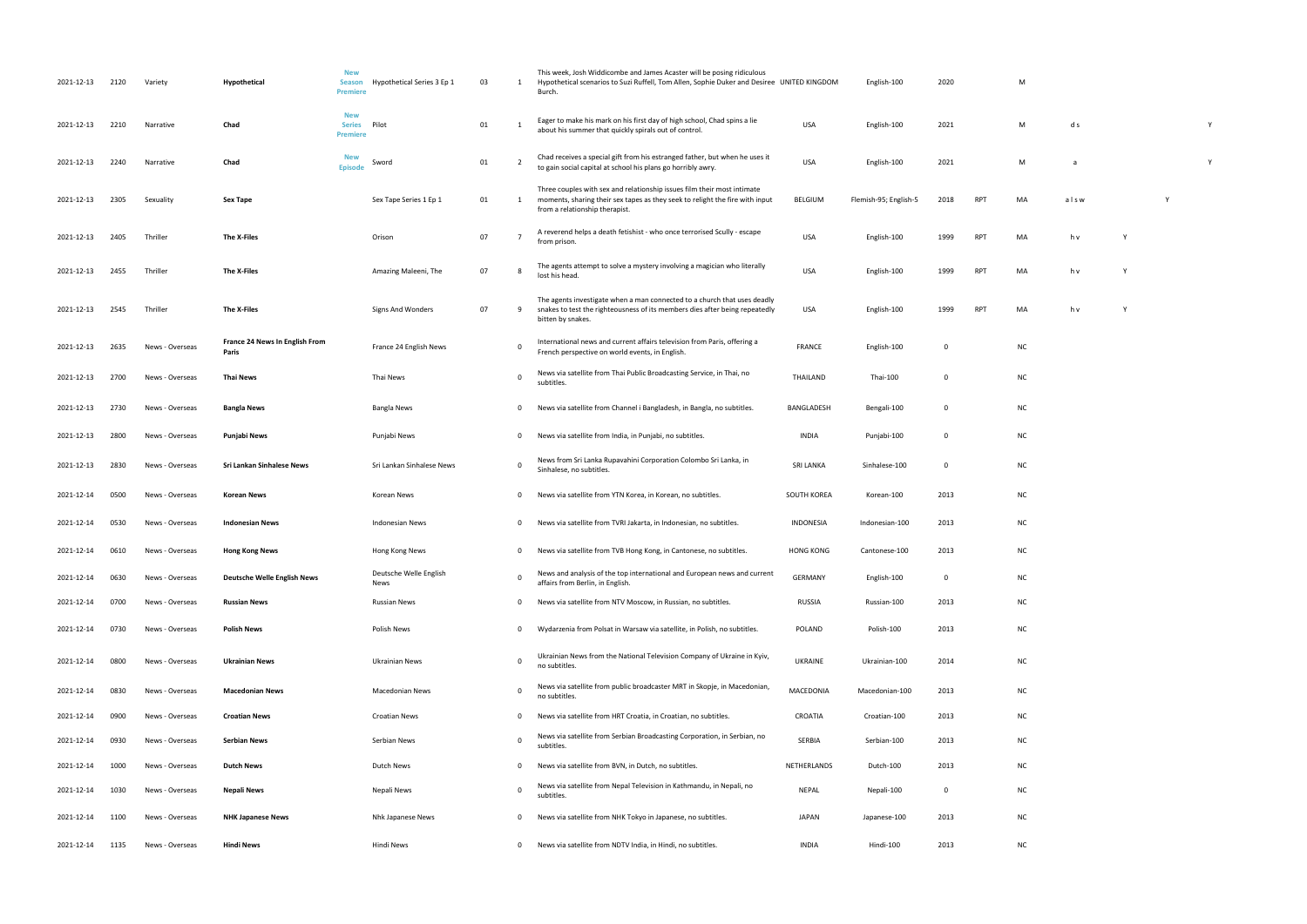| 2021-12-13 | 2120 | Variety         | Hypothetical                                   | <b>New</b><br><b>Season</b><br><b>Premiere</b> | Hypothetical Series 3 Ep 1     | 03 | 1              | This week, Josh Widdicombe and James Acaster will be posing ridiculous<br>Hypothetical scenarios to Suzi Ruffell, Tom Allen, Sophie Duker and Desiree UNITED KINGDOM<br>Burch.            |                  | English-100           | 2020        |            | M         |      |   |  |
|------------|------|-----------------|------------------------------------------------|------------------------------------------------|--------------------------------|----|----------------|-------------------------------------------------------------------------------------------------------------------------------------------------------------------------------------------|------------------|-----------------------|-------------|------------|-----------|------|---|--|
| 2021-12-13 | 2210 | Narrative       | Chad                                           | <b>New</b><br><b>Series</b><br>Premiere        | Pilot                          | 01 | - 1            | Eager to make his mark on his first day of high school, Chad spins a lie<br>about his summer that quickly spirals out of control.                                                         | <b>USA</b>       | English-100           | 2021        |            | M         | d s  |   |  |
| 2021-12-13 | 2240 | Narrative       | Chad                                           | New<br><b>Episode</b>                          | Sword                          | 01 | - 2            | Chad receives a special gift from his estranged father, but when he uses it<br>to gain social capital at school his plans go horribly awry.                                               | USA              | English-100           | 2021        |            | M         | a    |   |  |
| 2021-12-13 | 2305 | Sexuality       | Sex Tape                                       |                                                | Sex Tape Series 1 Ep 1         | 01 | -1             | Three couples with sex and relationship issues film their most intimate<br>moments, sharing their sex tapes as they seek to relight the fire with input<br>from a relationship therapist. | BELGIUM          | Flemish-95; English-5 | 2018        | RPT        | MA        | alsw |   |  |
| 2021-12-13 | 2405 | Thriller        | The X-Files                                    |                                                | Orison                         | 07 |                | A reverend helps a death fetishist - who once terrorised Scully - escape<br>from prison.                                                                                                  | USA              | English-100           | 1999        | <b>RPT</b> | MA        | h v  |   |  |
| 2021-12-13 | 2455 | Thriller        | The X-Files                                    |                                                | Amazing Maleeni, The           | 07 | - 8            | The agents attempt to solve a mystery involving a magician who literally<br>lost his head.                                                                                                | USA              | English-100           | 1999        | <b>RPT</b> | MA        | h v  | Y |  |
| 2021-12-13 | 2545 | Thriller        | The X-Files                                    |                                                | Signs And Wonders              | 07 | 9              | The agents investigate when a man connected to a church that uses deadly<br>snakes to test the righteousness of its members dies after being repeatedly<br>bitten by snakes.              | USA              | English-100           | 1999        | RPT        | MA        | h v  | Y |  |
| 2021-12-13 | 2635 | News - Overseas | <b>France 24 News In English From</b><br>Paris |                                                | France 24 English News         |    | 0              | International news and current affairs television from Paris, offering a<br>French perspective on world events, in English.                                                               | FRANCE           | English-100           | 0           |            | <b>NC</b> |      |   |  |
| 2021-12-13 | 2700 | News - Overseas | Thai News                                      |                                                | Thai News                      |    | $\mathbf 0$    | News via satellite from Thai Public Broadcasting Service, in Thai, no<br>subtitles.                                                                                                       | THAILAND         | Thai-100              | 0           |            | <b>NC</b> |      |   |  |
| 2021-12-13 | 2730 | News - Overseas | <b>Bangla News</b>                             |                                                | Bangla News                    |    | $\mathbf 0$    | News via satellite from Channel i Bangladesh, in Bangla, no subtitles.                                                                                                                    | BANGLADESH       | Bengali-100           | 0           |            | <b>NC</b> |      |   |  |
| 2021-12-13 | 2800 | News - Overseas | Punjabi News                                   |                                                | Punjabi News                   |    | 0              | News via satellite from India, in Punjabi, no subtitles.                                                                                                                                  | INDIA            | Punjabi-100           | 0           |            | <b>NC</b> |      |   |  |
| 2021-12-13 | 2830 | News - Overseas | Sri Lankan Sinhalese News                      |                                                | Sri Lankan Sinhalese News      |    | 0              | News from Sri Lanka Rupavahini Corporation Colombo Sri Lanka, in<br>Sinhalese, no subtitles.                                                                                              | <b>SRI LANKA</b> | Sinhalese-100         | 0           |            | <b>NC</b> |      |   |  |
| 2021-12-14 | 0500 | News - Overseas | Korean News                                    |                                                | Korean News                    |    | $\mathbf 0$    | News via satellite from YTN Korea, in Korean, no subtitles.                                                                                                                               | SOUTH KOREA      | Korean-100            | 2013        |            | <b>NC</b> |      |   |  |
| 2021-12-14 | 0530 | News - Overseas | <b>Indonesian News</b>                         |                                                | <b>Indonesian News</b>         |    | $\mathbf 0$    | News via satellite from TVRI Jakarta, in Indonesian, no subtitles.                                                                                                                        | <b>INDONESIA</b> | Indonesian-100        | 2013        |            | <b>NC</b> |      |   |  |
| 2021-12-14 | 0610 | News - Overseas | <b>Hong Kong News</b>                          |                                                | Hong Kong News                 |    | $\mathbf{0}$   | News via satellite from TVB Hong Kong, in Cantonese, no subtitles.                                                                                                                        | <b>HONG KONG</b> | Cantonese-100         | 2013        |            | <b>NC</b> |      |   |  |
| 2021-12-14 | 0630 | News - Overseas | <b>Deutsche Welle English News</b>             |                                                | Deutsche Welle English<br>News |    | $\mathbf 0$    | News and analysis of the top international and European news and current<br>affairs from Berlin, in English.                                                                              | <b>GERMANY</b>   | English-100           | $\mathbf 0$ |            | <b>NC</b> |      |   |  |
| 2021-12-14 | 0700 | News - Overseas | <b>Russian News</b>                            |                                                | <b>Russian News</b>            |    | $\overline{0}$ | News via satellite from NTV Moscow, in Russian, no subtitles.                                                                                                                             | <b>RUSSIA</b>    | Russian-100           | 2013        |            | <b>NC</b> |      |   |  |
| 2021-12-14 | 0730 | News - Overseas | <b>Polish News</b>                             |                                                | Polish News                    |    | $\mathbf{0}$   | Wydarzenia from Polsat in Warsaw via satellite, in Polish, no subtitles.                                                                                                                  | POLAND           | Polish-100            | 2013        |            | <b>NC</b> |      |   |  |
| 2021-12-14 | 0800 | News - Overseas | Ukrainian News                                 |                                                | Ukrainian News                 |    | $\mathbf 0$    | Ukrainian News from the National Television Company of Ukraine in Kyiv,<br>no subtitles.                                                                                                  | UKRAINE          | Ukrainian-100         | 2014        |            | <b>NC</b> |      |   |  |
| 2021-12-14 | 0830 | News - Overseas | <b>Macedonian News</b>                         |                                                | <b>Macedonian News</b>         |    | $\mathbf 0$    | News via satellite from public broadcaster MRT in Skopje, in Macedonian,<br>no subtitles.                                                                                                 | MACEDONIA        | Macedonian-100        | 2013        |            | NC        |      |   |  |
| 2021-12-14 | 0900 | News - Overseas | <b>Croatian News</b>                           |                                                | <b>Croatian News</b>           |    | 0              | News via satellite from HRT Croatia, in Croatian, no subtitles.                                                                                                                           | CROATIA          | Croatian-100          | 2013        |            | <b>NC</b> |      |   |  |
| 2021-12-14 | 0930 | News - Overseas | <b>Serbian News</b>                            |                                                | Serbian News                   |    | $\mathbf 0$    | News via satellite from Serbian Broadcasting Corporation, in Serbian, no<br>subtitles.                                                                                                    | SERBIA           | Serbian-100           | 2013        |            | <b>NC</b> |      |   |  |
| 2021-12-14 | 1000 | News - Overseas | <b>Dutch News</b>                              |                                                | Dutch News                     |    | $\mathbf 0$    | News via satellite from BVN, in Dutch, no subtitles.                                                                                                                                      | NETHERLANDS      | Dutch-100             | 2013        |            | <b>NC</b> |      |   |  |
| 2021-12-14 | 1030 | News - Overseas | Nepali News                                    |                                                | Nepali News                    |    | $\mathbf 0$    | News via satellite from Nepal Television in Kathmandu, in Nepali, no<br>subtitles.                                                                                                        | NEPAL            | Nepali-100            | 0           |            | <b>NC</b> |      |   |  |
| 2021-12-14 | 1100 | News - Overseas | <b>NHK Japanese News</b>                       |                                                | Nhk Japanese News              |    | $\mathbf 0$    | News via satellite from NHK Tokyo in Japanese, no subtitles.                                                                                                                              | JAPAN            | Japanese-100          | 2013        |            | <b>NC</b> |      |   |  |
| 2021-12-14 | 1135 | News - Overseas | <b>Hindi News</b>                              |                                                | Hindi News                     |    | $\mathbf 0$    | News via satellite from NDTV India, in Hindi, no subtitles.                                                                                                                               | INDIA            | Hindi-100             | 2013        |            | <b>NC</b> |      |   |  |

| M |  |  |  |
|---|--|--|--|

| M | d s | Υ |
|---|-----|---|
| M | a   | Υ |

| МA | alsw | Υ |
|----|------|---|
|    |      |   |
|    |      |   |

| ИA | h v | Υ |
|----|-----|---|
|    |     |   |

| ΛА | h v | $\mathbf{v}$ |
|----|-----|--------------|
|    |     |              |
|    |     |              |
|    |     |              |

| ИA | h v | Υ |
|----|-----|---|
|    |     |   |
|    |     |   |

- 
- 
- 
- 
- 
- 
- 
- 
- 
- 
- 
- 
- 
- 
- 
- 
-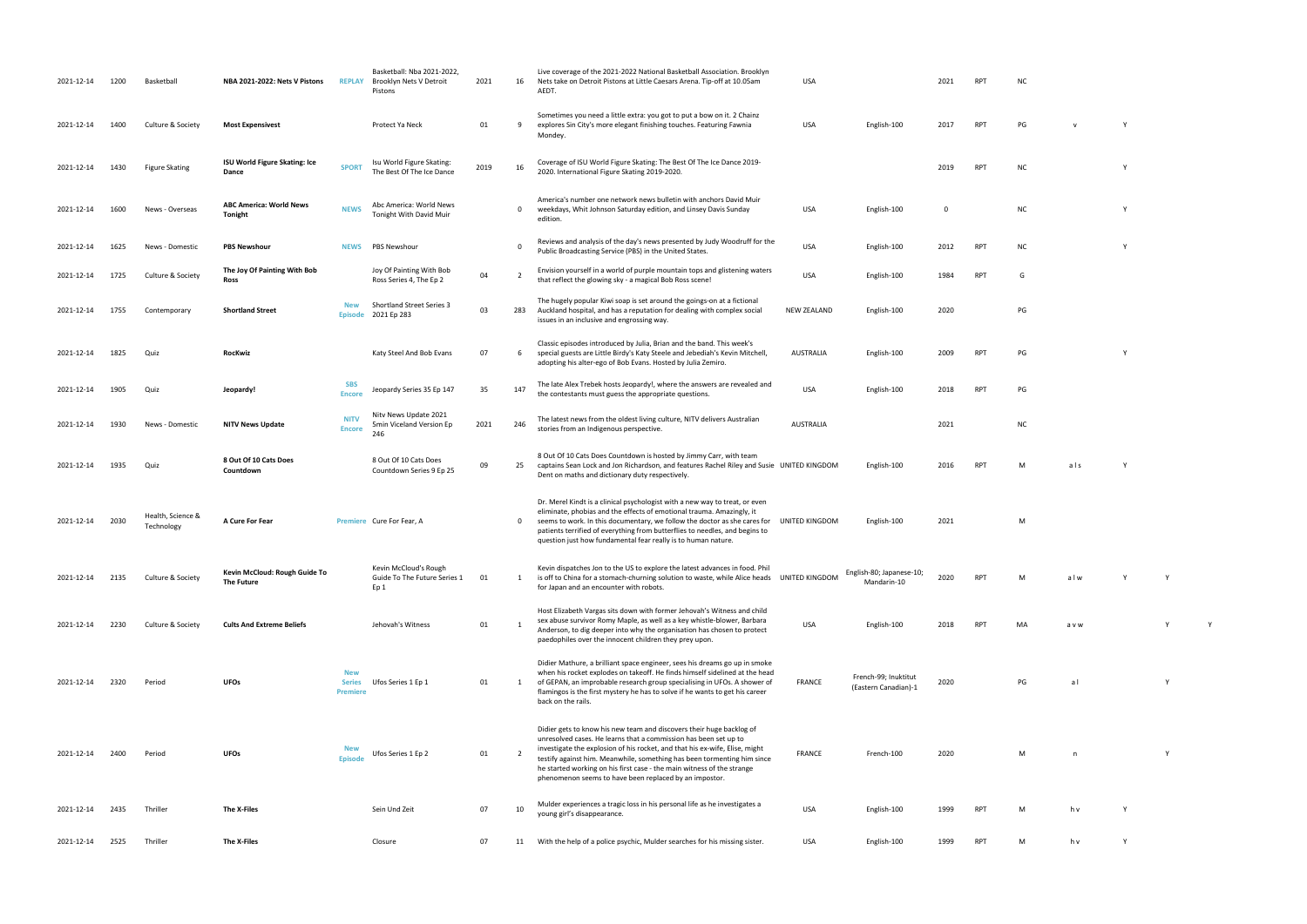| 2021-12-14 | 1200 | Basketball                      | NBA 2021-2022: Nets V Pistons               | <b>REPLAY</b>                                  | Basketball: Nba 2021-2022,<br>Brooklyn Nets V Detroit<br>Pistons | 2021 | 16             | Live coverage of the 2021-2022 National Basketball Association. Brooklyn<br>Nets take on Detroit Pistons at Little Caesars Arena. Tip-off at 10.05am<br>AEDT.                                                                                                                                                                                                                                                                          | USA                |                                              | 2021        | RPT        | <b>NC</b> |             |              |
|------------|------|---------------------------------|---------------------------------------------|------------------------------------------------|------------------------------------------------------------------|------|----------------|----------------------------------------------------------------------------------------------------------------------------------------------------------------------------------------------------------------------------------------------------------------------------------------------------------------------------------------------------------------------------------------------------------------------------------------|--------------------|----------------------------------------------|-------------|------------|-----------|-------------|--------------|
| 2021-12-14 | 1400 | Culture & Society               | <b>Most Expensivest</b>                     |                                                | Protect Ya Neck                                                  | 01   | 9              | Sometimes you need a little extra: you got to put a bow on it. 2 Chainz<br>explores Sin City's more elegant finishing touches. Featuring Fawnia<br>Mondey.                                                                                                                                                                                                                                                                             | USA                | English-100                                  | 2017        | <b>RPT</b> | PG        | $\mathbf v$ | $\mathsf{Y}$ |
| 2021-12-14 | 1430 | <b>Figure Skating</b>           | ISU World Figure Skating: Ice<br>Dance      | <b>SPORT</b>                                   | Isu World Figure Skating:<br>The Best Of The Ice Dance           | 2019 | 16             | Coverage of ISU World Figure Skating: The Best Of The Ice Dance 2019-<br>2020. International Figure Skating 2019-2020.                                                                                                                                                                                                                                                                                                                 |                    |                                              | 2019        | RPT        | <b>NC</b> |             | Y            |
| 2021-12-14 | 1600 | News - Overseas                 | <b>ABC America: World News</b><br>Tonight   | <b>NEWS</b>                                    | Abc America: World News<br>Tonight With David Muir               |      | 0              | America's number one network news bulletin with anchors David Muir<br>weekdays, Whit Johnson Saturday edition, and Linsey Davis Sunday<br>edition.                                                                                                                                                                                                                                                                                     | USA                | English-100                                  | $\mathbf 0$ |            | <b>NC</b> |             | Y            |
| 2021-12-14 | 1625 | News - Domestic                 | <b>PBS Newshour</b>                         | <b>NEWS</b>                                    | PBS Newshour                                                     |      | 0              | Reviews and analysis of the day's news presented by Judy Woodruff for the<br>Public Broadcasting Service (PBS) in the United States.                                                                                                                                                                                                                                                                                                   | USA                | English-100                                  | 2012        | RPT        | <b>NC</b> |             | Y            |
| 2021-12-14 | 1725 | Culture & Society               | The Joy Of Painting With Bob<br>Ross        |                                                | Joy Of Painting With Bob<br>Ross Series 4, The Ep 2              | 04   | $\overline{2}$ | Envision yourself in a world of purple mountain tops and glistening waters<br>that reflect the glowing sky - a magical Bob Ross scene!                                                                                                                                                                                                                                                                                                 | <b>USA</b>         | English-100                                  | 1984        | <b>RPT</b> | G         |             |              |
| 2021-12-14 | 1755 | Contemporary                    | <b>Shortland Street</b>                     | <b>New</b>                                     | <b>Shortland Street Series 3</b><br>Episode 2021 Ep 283          | 03   | 283            | The hugely popular Kiwi soap is set around the goings-on at a fictional<br>Auckland hospital, and has a reputation for dealing with complex social<br>issues in an inclusive and engrossing way.                                                                                                                                                                                                                                       | <b>NEW ZEALAND</b> | English-100                                  | 2020        |            | PG        |             |              |
| 2021-12-14 | 1825 | Quiz                            | RocKwiz                                     |                                                | Katy Steel And Bob Evans                                         | 07   | 6              | Classic episodes introduced by Julia, Brian and the band. This week's<br>special guests are Little Birdy's Katy Steele and Jebediah's Kevin Mitchell,<br>adopting his alter-ego of Bob Evans. Hosted by Julia Zemiro.                                                                                                                                                                                                                  | AUSTRALIA          | English-100                                  | 2009        | RPT        | PG        |             | Y            |
| 2021-12-14 | 1905 | Quiz                            | Jeopardy!                                   | <b>SBS</b><br><b>Encore</b>                    | Jeopardy Series 35 Ep 147                                        | 35   | 147            | The late Alex Trebek hosts Jeopardy!, where the answers are revealed and<br>the contestants must guess the appropriate questions.                                                                                                                                                                                                                                                                                                      | <b>USA</b>         | English-100                                  | 2018        | <b>RPT</b> | PG        |             |              |
| 2021-12-14 | 1930 | News - Domestic                 | <b>NITV News Update</b>                     | <b>NITV</b><br><b>Encore</b>                   | Nity News Update 2021<br>5min Viceland Version Ep<br>246         | 2021 | 246            | The latest news from the oldest living culture, NITV delivers Australian<br>stories from an Indigenous perspective.                                                                                                                                                                                                                                                                                                                    | AUSTRALIA          |                                              | 2021        |            | <b>NC</b> |             |              |
| 2021-12-14 | 1935 | Quiz                            | 8 Out Of 10 Cats Does<br>Countdown          |                                                | 8 Out Of 10 Cats Does<br>Countdown Series 9 Ep 25                | 09   | 25             | 8 Out Of 10 Cats Does Countdown is hosted by Jimmy Carr, with team<br>captains Sean Lock and Jon Richardson, and features Rachel Riley and Susie UNITED KINGDOM<br>Dent on maths and dictionary duty respectively.                                                                                                                                                                                                                     |                    | English-100                                  | 2016        | RPT        | м         | als         |              |
| 2021-12-14 | 2030 | Health, Science &<br>Technology | A Cure For Fear                             |                                                | Premiere Cure For Fear, A                                        |      | $\mathbf{0}$   | Dr. Merel Kindt is a clinical psychologist with a new way to treat, or even<br>eliminate, phobias and the effects of emotional trauma. Amazingly, it<br>seems to work. In this documentary, we follow the doctor as she cares for<br>patients terrified of everything from butterflies to needles, and begins to<br>question just how fundamental fear really is to human nature.                                                      | UNITED KINGDOM     | English-100                                  | 2021        |            | M         |             |              |
| 2021-12-14 | 2135 | Culture & Society               | Kevin McCloud: Rough Guide To<br>The Future |                                                | Kevin McCloud's Rough<br>Guide To The Future Series 1<br>Ep 1    | 01   | 1              | Kevin dispatches Jon to the US to explore the latest advances in food. Phil<br>is off to China for a stomach-churning solution to waste, while Alice heads<br>for Japan and an encounter with robots.                                                                                                                                                                                                                                  | UNITED KINGDOM     | English-80; Japanese-10;<br>Mandarin-10      | 2020        | <b>RPT</b> |           | alw         | Y            |
| 2021-12-14 | 2230 | Culture & Society               | <b>Cults And Extreme Beliefs</b>            |                                                | Jehovah's Witness                                                | 01   | <sup>1</sup>   | Host Elizabeth Vargas sits down with former Jehovah's Witness and child<br>sex abuse survivor Romy Maple, as well as a key whistle-blower, Barbara<br>Anderson, to dig deeper into why the organisation has chosen to protect<br>paedophiles over the innocent children they prey upon.                                                                                                                                                | USA                | English-100                                  | 2018        | <b>RPT</b> | MA        | a v w       |              |
| 2021-12-14 | 2320 | Period                          | <b>UFOs</b>                                 | <b>New</b><br><b>Series</b><br><b>Premiere</b> | Ufos Series 1 Ep 1                                               | 01   | 1              | Didier Mathure, a brilliant space engineer, sees his dreams go up in smoke<br>when his rocket explodes on takeoff. He finds himself sidelined at the head<br>of GEPAN, an improbable research group specialising in UFOs. A shower of<br>flamingos is the first mystery he has to solve if he wants to get his career<br>back on the rails.                                                                                            | FRANCE             | French-99; Inuktitut<br>(Eastern Canadian)-1 | 2020        |            | PG        | al          |              |
| 2021-12-14 | 2400 | Period                          | <b>UFOs</b>                                 | New<br><b>Episode</b>                          | Ufos Series 1 Ep 2                                               | 01   | $\overline{2}$ | Didier gets to know his new team and discovers their huge backlog of<br>unresolved cases. He learns that a commission has been set up to<br>investigate the explosion of his rocket, and that his ex-wife, Elise, might<br>testify against him. Meanwhile, something has been tormenting him since<br>he started working on his first case - the main witness of the strange<br>phenomenon seems to have been replaced by an impostor. | FRANCE             | French-100                                   | 2020        |            | М         | n           |              |
| 2021-12-14 | 2435 | Thriller                        | The X-Files                                 |                                                | Sein Und Zeit                                                    | 07   | 10             | Mulder experiences a tragic loss in his personal life as he investigates a<br>young girl's disappearance.                                                                                                                                                                                                                                                                                                                              | USA                | English-100                                  | 1999        | <b>RPT</b> | м         | h v         | Y            |
| 2021-12-14 | 2525 | Thriller                        | The X-Files                                 |                                                | Closure                                                          | 07   | 11             | With the help of a police psychic, Mulder searches for his missing sister.                                                                                                                                                                                                                                                                                                                                                             | USA                | English-100                                  | 1999        | <b>RPT</b> | М         | h v         | Y            |

- RPT PG v Y
- 2020. International Figure Skating 2019-2020. <sup>2019</sup> RPT NC <sup>Y</sup>
- NC Y
- PUBLIC BROADCASTING STATES. USA ENGLISH-100 2012 RPT NC Y
	-
	-
- RPT PG Y
	-
- $nc$
- RPT M als Y
- UNITED KINGDOM ENGLISH-100 2021 MILLION
	-
- RPT Malw Y Y
- PT MA a v w Y Y Y
	- $PG$  a l  $Y$
	-
	- $F$ Panch-100 2020  $F$
- young girl's disappearance. USA English-100 <sup>1999</sup> RPT <sup>M</sup> h v Y
- 2021-12-14 2525 Thriller **The X-Files** Closure 07 11 With the help of a police psychic, Mulder searches for his missing sister. USA English-100 1999 RPT M h v Y
- 
- 
- 
- 
- 
- 
- 
- -
	-
- 
- 
- 
-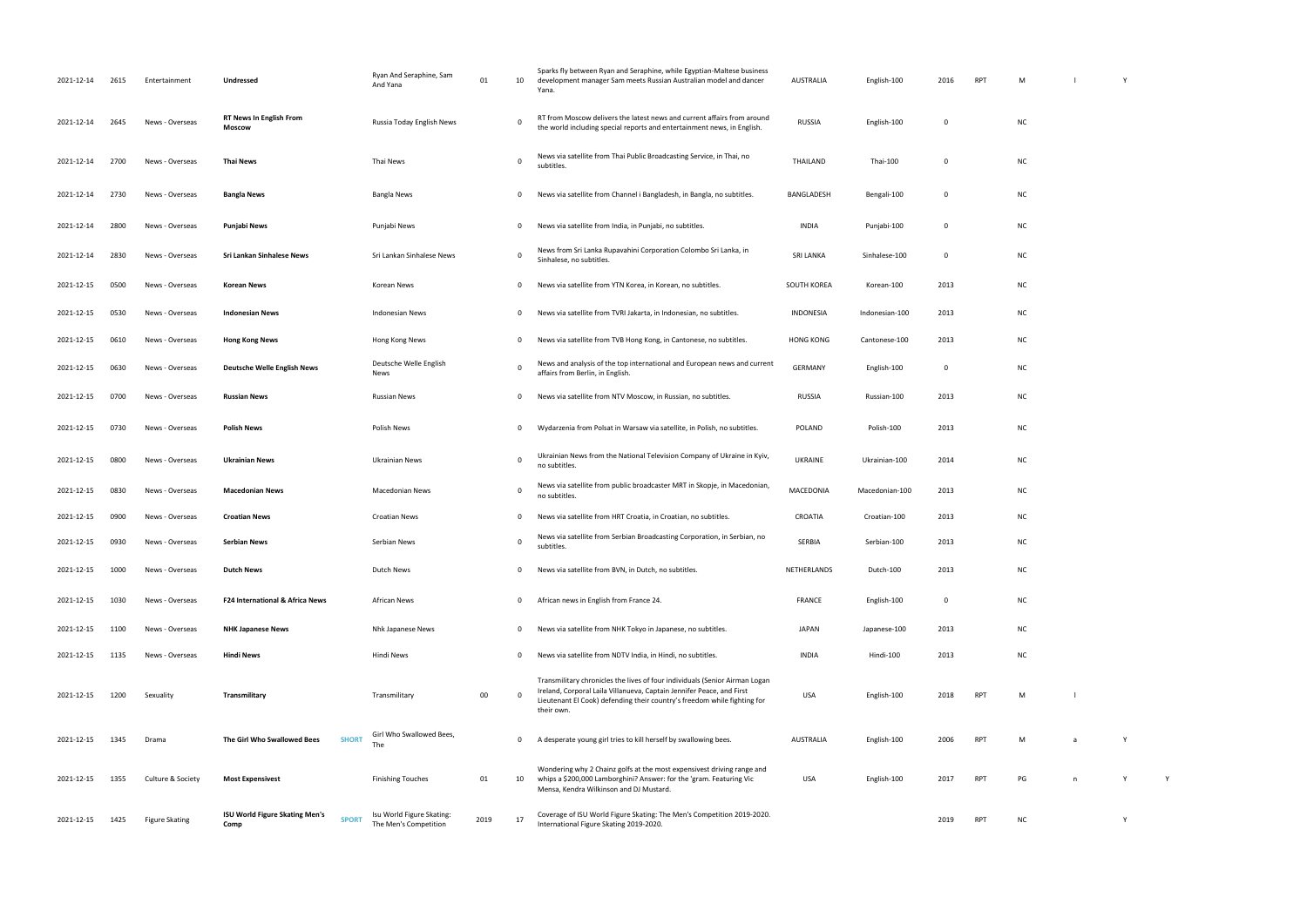| 2021-12-14 | 2615 | Entertainment         | Undressed                                |              | Ryan And Seraphine, Sam<br>And Yana                | 01   | 10          | Sparks fly between Ryan and Seraphine, while Egyptian-Maltese business<br>development manager Sam meets Russian Australian model and dancer<br>Yana.                                                                                           | <b>AUSTRALIA</b> | English-100    | 2016        | <b>RPT</b> | M         |    |  |
|------------|------|-----------------------|------------------------------------------|--------------|----------------------------------------------------|------|-------------|------------------------------------------------------------------------------------------------------------------------------------------------------------------------------------------------------------------------------------------------|------------------|----------------|-------------|------------|-----------|----|--|
| 2021-12-14 | 2645 | News - Overseas       | <b>RT News In English From</b><br>Moscow |              | Russia Today English News                          |      | 0           | RT from Moscow delivers the latest news and current affairs from around<br>the world including special reports and entertainment news, in English.                                                                                             | <b>RUSSIA</b>    | English-100    | $\Omega$    |            | <b>NC</b> |    |  |
| 2021-12-14 | 2700 | News - Overseas       | <b>Thai News</b>                         |              | Thai News                                          |      | $\Omega$    | News via satellite from Thai Public Broadcasting Service, in Thai, no<br>subtitles.                                                                                                                                                            | THAILAND         | Thai-100       | $\Omega$    |            | <b>NC</b> |    |  |
| 2021-12-14 | 2730 | News - Overseas       | <b>Bangla News</b>                       |              | Bangla News                                        |      | 0           | News via satellite from Channel i Bangladesh, in Bangla, no subtitles.                                                                                                                                                                         | BANGLADESH       | Bengali-100    | 0           |            | <b>NC</b> |    |  |
| 2021-12-14 | 2800 | News - Overseas       | Punjabi News                             |              | Punjabi News                                       |      | 0           | News via satellite from India, in Punjabi, no subtitles.                                                                                                                                                                                       | <b>INDIA</b>     | Punjabi-100    | $\mathbf 0$ |            | <b>NC</b> |    |  |
| 2021-12-14 | 2830 | News - Overseas       | Sri Lankan Sinhalese News                |              | Sri Lankan Sinhalese News                          |      | $\mathbf 0$ | News from Sri Lanka Rupavahini Corporation Colombo Sri Lanka, in<br>Sinhalese, no subtitles.                                                                                                                                                   | <b>SRI LANKA</b> | Sinhalese-100  | $\mathbf 0$ |            | <b>NC</b> |    |  |
| 2021-12-15 | 0500 | News - Overseas       | <b>Korean News</b>                       |              | Korean News                                        |      | $\mathbf 0$ | News via satellite from YTN Korea, in Korean, no subtitles.                                                                                                                                                                                    | SOUTH KOREA      | Korean-100     | 2013        |            | <b>NC</b> |    |  |
| 2021-12-15 | 0530 | News - Overseas       | <b>Indonesian News</b>                   |              | <b>Indonesian News</b>                             |      | 0           | News via satellite from TVRI Jakarta, in Indonesian, no subtitles.                                                                                                                                                                             | INDONESIA        | Indonesian-100 | 2013        |            | <b>NC</b> |    |  |
| 2021-12-15 | 0610 | News - Overseas       | <b>Hong Kong News</b>                    |              | Hong Kong News                                     |      | 0           | News via satellite from TVB Hong Kong, in Cantonese, no subtitles.                                                                                                                                                                             | <b>HONG KONG</b> | Cantonese-100  | 2013        |            | <b>NC</b> |    |  |
| 2021-12-15 | 0630 | News - Overseas       | <b>Deutsche Welle English News</b>       |              | Deutsche Welle English<br>News                     |      | $\Omega$    | News and analysis of the top international and European news and current<br>affairs from Berlin, in English.                                                                                                                                   | <b>GERMANY</b>   | English-100    | $\mathbf 0$ |            | <b>NC</b> |    |  |
| 2021-12-15 | 0700 | News - Overseas       | <b>Russian News</b>                      |              | Russian News                                       |      | $\mathbf 0$ | News via satellite from NTV Moscow, in Russian, no subtitles.                                                                                                                                                                                  | <b>RUSSIA</b>    | Russian-100    | 2013        |            | <b>NC</b> |    |  |
| 2021-12-15 | 0730 | News - Overseas       | <b>Polish News</b>                       |              | Polish News                                        |      | 0           | Wydarzenia from Polsat in Warsaw via satellite, in Polish, no subtitles.                                                                                                                                                                       | POLAND           | Polish-100     | 2013        |            | <b>NC</b> |    |  |
| 2021-12-15 | 0800 | News - Overseas       | <b>Ukrainian News</b>                    |              | Ukrainian News                                     |      | $\mathbf 0$ | Ukrainian News from the National Television Company of Ukraine in Kyiv,<br>no subtitles.                                                                                                                                                       | <b>UKRAINE</b>   | Ukrainian-100  | 2014        |            | <b>NC</b> |    |  |
| 2021-12-15 | 0830 | News - Overseas       | <b>Macedonian News</b>                   |              | <b>Macedonian News</b>                             |      | $\mathbf 0$ | News via satellite from public broadcaster MRT in Skopje, in Macedonian,<br>no subtitles.                                                                                                                                                      | MACEDONIA        | Macedonian-100 | 2013        |            | <b>NC</b> |    |  |
| 2021-12-15 | 0900 | News - Overseas       | <b>Croatian News</b>                     |              | <b>Croatian News</b>                               |      | 0           | News via satellite from HRT Croatia, in Croatian, no subtitles.                                                                                                                                                                                | CROATIA          | Croatian-100   | 2013        |            | <b>NC</b> |    |  |
| 2021-12-15 | 0930 | News - Overseas       | Serbian News                             |              | Serbian News                                       |      | $\Omega$    | News via satellite from Serbian Broadcasting Corporation, in Serbian, no<br>subtitles.                                                                                                                                                         | SERBIA           | Serbian-100    | 2013        |            | <b>NC</b> |    |  |
| 2021-12-15 | 1000 | News - Overseas       | <b>Dutch News</b>                        |              | Dutch News                                         |      | 0           | News via satellite from BVN, in Dutch, no subtitles.                                                                                                                                                                                           | NETHERLANDS      | Dutch-100      | 2013        |            | <b>NC</b> |    |  |
| 2021-12-15 | 1030 | News - Overseas       | F24 International & Africa News          |              | African News                                       |      | 0           | African news in English from France 24.                                                                                                                                                                                                        | FRANCE           | English-100    | 0           |            | NC.       |    |  |
| 2021-12-15 | 1100 | News - Overseas       | <b>NHK Japanese News</b>                 |              | Nhk Japanese News                                  |      | 0           | News via satellite from NHK Tokyo in Japanese, no subtitles.                                                                                                                                                                                   | <b>JAPAN</b>     | Japanese-100   | 2013        |            | <b>NC</b> |    |  |
| 2021-12-15 | 1135 | News - Overseas       | <b>Hindi News</b>                        |              | Hindi News                                         |      | 0           | News via satellite from NDTV India, in Hindi, no subtitles.                                                                                                                                                                                    | <b>INDIA</b>     | Hindi-100      | 2013        |            | <b>NC</b> |    |  |
| 2021-12-15 | 1200 | Sexuality             | Transmilitary                            |              | Transmilitary                                      | 00   | 0           | Transmilitary chronicles the lives of four individuals (Senior Airman Logan<br>Ireland, Corporal Laila Villanueva, Captain Jennifer Peace, and First<br>Lieutenant El Cook) defending their country's freedom while fighting for<br>their own. | USA              | English-100    | 2018        | <b>RPT</b> | M         |    |  |
| 2021-12-15 | 1345 | Drama                 | The Girl Who Swallowed Bees              | <b>SHORT</b> | Girl Who Swallowed Bees,<br>The                    |      | 0           | A desperate young girl tries to kill herself by swallowing bees.                                                                                                                                                                               | <b>AUSTRALIA</b> | English-100    | 2006        | <b>RPT</b> | M         |    |  |
| 2021-12-15 | 1355 | Culture & Society     | <b>Most Expensivest</b>                  |              | <b>Finishing Touches</b>                           | 01   | 10          | Wondering why 2 Chainz golfs at the most expensivest driving range and<br>whips a \$200,000 Lamborghini? Answer: for the 'gram. Featuring Vic<br>Mensa, Kendra Wilkinson and DJ Mustard.                                                       | USA              | English-100    | 2017        | <b>RPT</b> | PG        | n. |  |
| 2021-12-15 | 1425 | <b>Figure Skating</b> | ISU World Figure Skating Men's<br>Comp   | <b>SPORT</b> | Isu World Figure Skating:<br>The Men's Competition | 2019 | 17          | Coverage of ISU World Figure Skating: The Men's Competition 2019-2020.<br>International Figure Skating 2019-2020.                                                                                                                              |                  |                | 2019        | <b>RPT</b> | NC        |    |  |

| $\mathsf{M}$  | $\sim$ $-1$        | $\mathsf{Y}$ |   |  |
|---------------|--------------------|--------------|---|--|
| NC            |                    |              |   |  |
| NC            |                    |              |   |  |
| NC            |                    |              |   |  |
| NC            |                    |              |   |  |
| NC            |                    |              |   |  |
| NC            |                    |              |   |  |
| NC            |                    |              |   |  |
| NC            |                    |              |   |  |
| NC            |                    |              |   |  |
| NC            |                    |              |   |  |
| NC            |                    |              |   |  |
| NC            |                    |              |   |  |
| NC            |                    |              |   |  |
| NC            |                    |              |   |  |
| NC            |                    |              |   |  |
| NC            |                    |              |   |  |
| NC            |                    |              |   |  |
| NC            |                    |              |   |  |
| NC            |                    |              |   |  |
| $\mathsf{M}$  | $\bar{\mathbf{I}}$ |              |   |  |
| $\mathsf{M}$  | a                  | Y            |   |  |
| $\mathsf{PG}$ | $\mathsf{n}$       | Y            | Y |  |
| NC            |                    | Y            |   |  |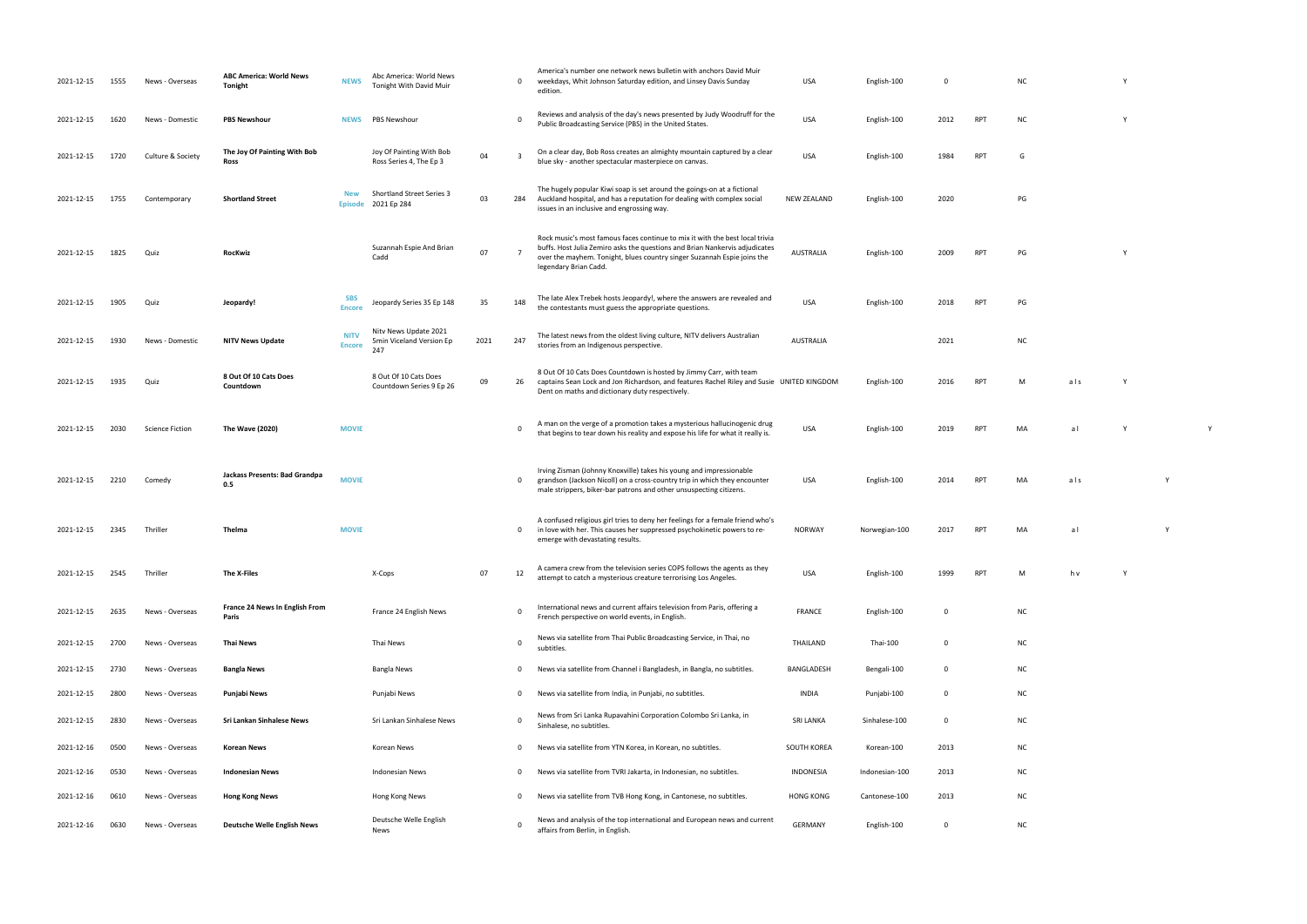- NC Y
- PUBLIC BROADCASTING STATES. USA ENGLISH-100 2012 RPT NC Y
- blue sky another spectacular masterpiece on canvas. USA English-100 <sup>1984</sup> RPT <sup>G</sup>
- $PG$
- RPT PG Y
	-
- $nc$ 
	-
- RPT M als Y
- that begins to teach down his reality and expose his life for what it really is really is really is a large for<br>It really is a large many many really is really in the contract of the second what is really in the second wha
- RPT MA als Y
- NORWAY NORWEGIAN-100 2017 RPT MA
- attempt to catch a mysterious creature terrorising Los Angeles. USA English-100 <sup>1999</sup> RPT <sup>M</sup> h v Y
	-
	-
	-
	-
	-
	-
	-
	-
- 
- 
- 
- 
- 
- 
- 
- 
- 
- 
- 
- 
- 
- 

| 2021-12-15 | 1555 | News - Overseas        | <b>ABC America: World News</b><br><b>Tonight</b> | <b>NEWS</b>                  | Abc America: World News<br>Tonight With David Muir       |      | $\mathbf{0}$ | America's number one network news bulletin with anchors David Muir<br>weekdays, Whit Johnson Saturday edition, and Linsey Davis Sunday<br>edition.                                                                                                              | USA                | English-100    | 0           |            | N <sub>C</sub> |
|------------|------|------------------------|--------------------------------------------------|------------------------------|----------------------------------------------------------|------|--------------|-----------------------------------------------------------------------------------------------------------------------------------------------------------------------------------------------------------------------------------------------------------------|--------------------|----------------|-------------|------------|----------------|
| 2021-12-15 | 1620 | News - Domestic        | <b>PBS Newshour</b>                              | <b>NEWS</b>                  | PBS Newshour                                             |      | $\Omega$     | Reviews and analysis of the day's news presented by Judy Woodruff for the<br>Public Broadcasting Service (PBS) in the United States.                                                                                                                            | <b>USA</b>         | English-100    | 2012        | <b>RPT</b> | N              |
| 2021-12-15 | 1720 | Culture & Society      | The Joy Of Painting With Bob<br>Ross             |                              | Joy Of Painting With Bob<br>Ross Series 4, The Ep 3      | 04   | 3            | On a clear day, Bob Ross creates an almighty mountain captured by a clear<br>blue sky - another spectacular masterpiece on canvas.                                                                                                                              | <b>USA</b>         | English-100    | 1984        | <b>RPT</b> | G              |
| 2021-12-15 | 1755 | Contemporary           | <b>Shortland Street</b>                          | <b>New</b><br><b>Episode</b> | <b>Shortland Street Series 3</b><br>2021 Ep 284          | 03   |              | The hugely popular Kiwi soap is set around the goings-on at a fictional<br>284 Auckland hospital, and has a reputation for dealing with complex social<br>issues in an inclusive and engrossing way.                                                            | <b>NEW ZEALAND</b> | English-100    | 2020        |            | PG             |
| 2021-12-15 | 1825 | Quiz                   | RocKwiz                                          |                              | Suzannah Espie And Brian<br>Cadd                         | 07   | 7            | Rock music's most famous faces continue to mix it with the best local trivia<br>buffs. Host Julia Zemiro asks the questions and Brian Nankervis adjudicates<br>over the mayhem. Tonight, blues country singer Suzannah Espie joins the<br>legendary Brian Cadd. | <b>AUSTRALIA</b>   | English-100    | 2009        | <b>RPT</b> | PG             |
| 2021-12-15 | 1905 | Quiz                   | Jeopardy!                                        | <b>SBS</b><br><b>Encore</b>  | Jeopardy Series 35 Ep 148                                | 35   | 148          | The late Alex Trebek hosts Jeopardy!, where the answers are revealed and<br>the contestants must guess the appropriate questions.                                                                                                                               | USA                | English-100    | 2018        | <b>RPT</b> | PG             |
| 2021-12-15 | 1930 | News - Domestic        | <b>NITV News Update</b>                          | <b>NITV</b><br><b>Encore</b> | Nitv News Update 2021<br>5min Viceland Version Ep<br>247 | 2021 | 247          | The latest news from the oldest living culture, NITV delivers Australian<br>stories from an Indigenous perspective.                                                                                                                                             | <b>AUSTRALIA</b>   |                | 2021        |            |                |
| 2021-12-15 | 1935 | Quiz                   | 8 Out Of 10 Cats Does<br>Countdown               |                              | 8 Out Of 10 Cats Does<br>Countdown Series 9 Ep 26        | 09   | 26           | 8 Out Of 10 Cats Does Countdown is hosted by Jimmy Carr, with team<br>captains Sean Lock and Jon Richardson, and features Rachel Riley and Susie UNITED KINGDOM<br>Dent on maths and dictionary duty respectively.                                              |                    | English-100    | 2016        | <b>RPT</b> | М              |
| 2021-12-15 | 2030 | <b>Science Fiction</b> | The Wave (2020)                                  | <b>MOVIE</b>                 |                                                          |      | $\Omega$     | A man on the verge of a promotion takes a mysterious hallucinogenic drug<br>that begins to tear down his reality and expose his life for what it really is.                                                                                                     | <b>USA</b>         | English-100    | 2019        | <b>RPT</b> |                |
| 2021-12-15 | 2210 | Comedy                 | Jackass Presents: Bad Grandpa<br>0.5             | <b>MOVIE</b>                 |                                                          |      | 0            | Irving Zisman (Johnny Knoxville) takes his young and impressionable<br>grandson (Jackson Nicoll) on a cross-country trip in which they encounter<br>male strippers, biker-bar patrons and other unsuspecting citizens.                                          | USA                | English-100    | 2014        | <b>RPT</b> |                |
| 2021-12-15 | 2345 | Thriller               | Thelma                                           | <b>MOVIE</b>                 |                                                          |      | $\mathbf{0}$ | A confused religious girl tries to deny her feelings for a female friend who's<br>in love with her. This causes her suppressed psychokinetic powers to re-<br>emerge with devastating results.                                                                  | <b>NORWAY</b>      | Norwegian-100  | 2017        | <b>RPT</b> | M/             |
| 2021-12-15 | 2545 | Thriller               | The X-Files                                      |                              | X-Cops                                                   | 07   | 12           | A camera crew from the television series COPS follows the agents as they<br>attempt to catch a mysterious creature terrorising Los Angeles.                                                                                                                     | <b>USA</b>         | English-100    | 1999        | <b>RPT</b> | M              |
| 2021-12-15 | 2635 | News - Overseas        | France 24 News In English From<br>Paris          |                              | France 24 English News                                   |      | 0            | International news and current affairs television from Paris, offering a<br>French perspective on world events, in English.                                                                                                                                     | <b>FRANCE</b>      | English-100    | 0           |            | N0             |
| 2021-12-15 | 2700 | News - Overseas        | Thai News                                        |                              | Thai News                                                |      | 0            | News via satellite from Thai Public Broadcasting Service, in Thai, no<br>subtitles.                                                                                                                                                                             | THAILAND           | Thai-100       | 0           |            |                |
| 2021-12-15 | 2730 | News - Overseas        | <b>Bangla News</b>                               |                              | <b>Bangla News</b>                                       |      | 0            | News via satellite from Channel i Bangladesh, in Bangla, no subtitles.                                                                                                                                                                                          | BANGLADESH         | Bengali-100    | $\mathbf 0$ |            | N0             |
| 2021-12-15 | 2800 | News - Overseas        | Punjabi News                                     |                              | Punjabi News                                             |      | 0            | News via satellite from India, in Punjabi, no subtitles.                                                                                                                                                                                                        | <b>INDIA</b>       | Punjabi-100    | $\mathbf 0$ |            | N0             |
| 2021-12-15 | 2830 | News - Overseas        | Sri Lankan Sinhalese News                        |                              | Sri Lankan Sinhalese News                                |      | 0            | News from Sri Lanka Rupavahini Corporation Colombo Sri Lanka, in<br>Sinhalese, no subtitles.                                                                                                                                                                    | <b>SRI LANKA</b>   | Sinhalese-100  | $\mathbf 0$ |            | N0             |
| 2021-12-16 | 0500 | News - Overseas        | Korean News                                      |                              | Korean News                                              |      | $\mathbf{0}$ | News via satellite from YTN Korea, in Korean, no subtitles.                                                                                                                                                                                                     | SOUTH KOREA        | Korean-100     | 2013        |            | N0             |
| 2021-12-16 | 0530 | News - Overseas        | <b>Indonesian News</b>                           |                              | <b>Indonesian News</b>                                   |      | 0            | News via satellite from TVRI Jakarta, in Indonesian, no subtitles.                                                                                                                                                                                              | <b>INDONESIA</b>   | Indonesian-100 | 2013        |            | N0             |
| 2021-12-16 | 0610 | News - Overseas        | <b>Hong Kong News</b>                            |                              | Hong Kong News                                           |      | 0            | News via satellite from TVB Hong Kong, in Cantonese, no subtitles.                                                                                                                                                                                              | <b>HONG KONG</b>   | Cantonese-100  | 2013        |            | N0             |
| 2021-12-16 | 0630 | News - Overseas        | <b>Deutsche Welle English News</b>               |                              | Deutsche Welle English<br>News                           |      | 0            | News and analysis of the top international and European news and current<br>affairs from Berlin, in English.                                                                                                                                                    | <b>GERMANY</b>     | English-100    | 0           |            | N0             |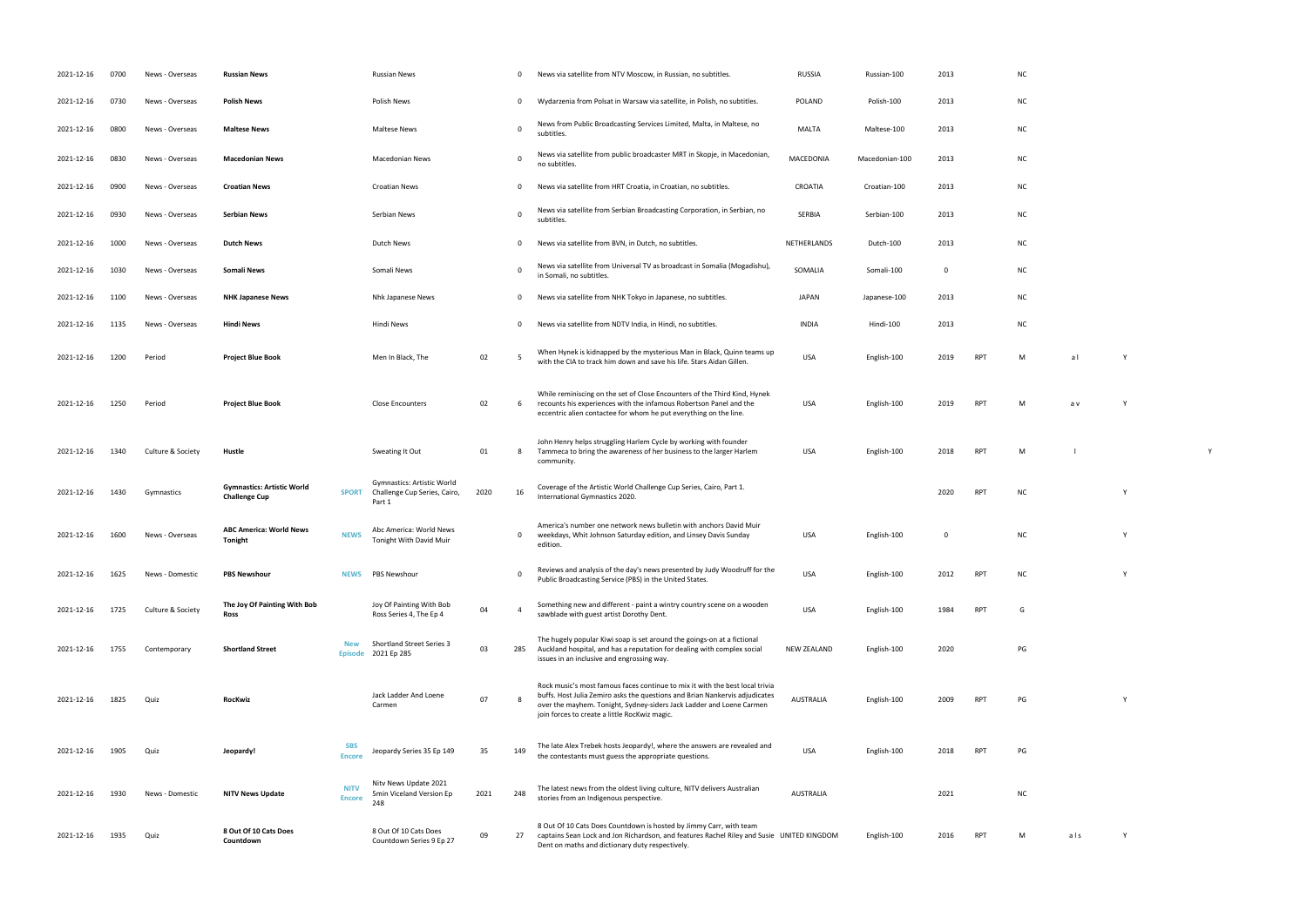USA English-100 0 NC Y PUBLIC BROADCASTING STATES. USA ENGLISH-100 2012 RPT NC Y

 $PG$ 

RPT PG Y

 $nc$ 

RPT M als Y

| 2021-12-16 | 0700 | News - Overseas   | <b>Russian News</b>                                       |                              | <b>Russian News</b>                                                  |      | 0        | News via satellite from NTV Moscow, in Russian, no subtitles.                                                                                                                                                                                                                        | <b>RUSSIA</b>      | Russian-100    | 2013        |            | N0             |
|------------|------|-------------------|-----------------------------------------------------------|------------------------------|----------------------------------------------------------------------|------|----------|--------------------------------------------------------------------------------------------------------------------------------------------------------------------------------------------------------------------------------------------------------------------------------------|--------------------|----------------|-------------|------------|----------------|
| 2021-12-16 | 0730 | News - Overseas   | <b>Polish News</b>                                        |                              | <b>Polish News</b>                                                   |      | 0        | Wydarzenia from Polsat in Warsaw via satellite, in Polish, no subtitles.                                                                                                                                                                                                             | POLAND             | Polish-100     | 2013        |            | N <sub>C</sub> |
| 2021-12-16 | 0800 | News - Overseas   | <b>Maltese News</b>                                       |                              | <b>Maltese News</b>                                                  |      | $\Omega$ | News from Public Broadcasting Services Limited, Malta, in Maltese, no<br>subtitles.                                                                                                                                                                                                  | MALTA              | Maltese-100    | 2013        |            | N0             |
| 2021-12-16 | 0830 | News - Overseas   | <b>Macedonian News</b>                                    |                              | <b>Macedonian News</b>                                               |      | $\Omega$ | News via satellite from public broadcaster MRT in Skopje, in Macedonian,<br>no subtitles.                                                                                                                                                                                            | MACEDONIA          | Macedonian-100 | 2013        |            | N0             |
| 2021-12-16 | 0900 | News - Overseas   | <b>Croatian News</b>                                      |                              | <b>Croatian News</b>                                                 |      | 0        | News via satellite from HRT Croatia, in Croatian, no subtitles.                                                                                                                                                                                                                      | CROATIA            | Croatian-100   | 2013        |            | N0             |
| 2021-12-16 | 0930 | News - Overseas   | <b>Serbian News</b>                                       |                              | Serbian News                                                         |      | 0        | News via satellite from Serbian Broadcasting Corporation, in Serbian, no<br>subtitles.                                                                                                                                                                                               | SERBIA             | Serbian-100    | 2013        |            | N <sub>C</sub> |
| 2021-12-16 | 1000 | News - Overseas   | <b>Dutch News</b>                                         |                              | Dutch News                                                           |      | 0        | News via satellite from BVN, in Dutch, no subtitles.                                                                                                                                                                                                                                 | NETHERLANDS        | Dutch-100      | 2013        |            | NO             |
| 2021-12-16 | 1030 | News - Overseas   | <b>Somali News</b>                                        |                              | Somali News                                                          |      | $\Omega$ | News via satellite from Universal TV as broadcast in Somalia (Mogadishu),<br>in Somali, no subtitles.                                                                                                                                                                                | SOMALIA            | Somali-100     | $\mathbf 0$ |            | NO             |
| 2021-12-16 | 1100 | News - Overseas   | <b>NHK Japanese News</b>                                  |                              | Nhk Japanese News                                                    |      | 0        | News via satellite from NHK Tokyo in Japanese, no subtitles.                                                                                                                                                                                                                         | <b>JAPAN</b>       | Japanese-100   | 2013        |            | NO             |
| 2021-12-16 | 1135 | News - Overseas   | <b>Hindi News</b>                                         |                              | Hindi News                                                           |      | 0        | News via satellite from NDTV India, in Hindi, no subtitles.                                                                                                                                                                                                                          | <b>INDIA</b>       | Hindi-100      | 2013        |            | N0             |
| 2021-12-16 | 1200 | Period            | <b>Project Blue Book</b>                                  |                              | Men In Black, The                                                    | 02   |          | When Hynek is kidnapped by the mysterious Man in Black, Quinn teams up<br>with the CIA to track him down and save his life. Stars Aidan Gillen.                                                                                                                                      | <b>USA</b>         | English-100    | 2019        | <b>RPT</b> | M              |
| 2021-12-16 | 1250 | Period            | <b>Project Blue Book</b>                                  |                              | <b>Close Encounters</b>                                              | 02   | 6        | While reminiscing on the set of Close Encounters of the Third Kind, Hynek<br>recounts his experiences with the infamous Robertson Panel and the<br>eccentric alien contactee for whom he put everything on the line.                                                                 | <b>USA</b>         | English-100    | 2019        | <b>RPT</b> | M              |
| 2021-12-16 | 1340 | Culture & Society | Hustle                                                    |                              | Sweating It Out                                                      | 01   | -8       | John Henry helps struggling Harlem Cycle by working with founder<br>Tammeca to bring the awareness of her business to the larger Harlem<br>community.                                                                                                                                | <b>USA</b>         | English-100    | 2018        | <b>RPT</b> | M              |
| 2021-12-16 | 1430 | Gymnastics        | <b>Gymnastics: Artistic World</b><br><b>Challenge Cup</b> | <b>SPORT</b>                 | Gymnastics: Artistic World<br>Challenge Cup Series, Cairo,<br>Part 1 | 2020 | 16       | Coverage of the Artistic World Challenge Cup Series, Cairo, Part 1.<br>International Gymnastics 2020.                                                                                                                                                                                |                    |                | 2020        | <b>RPT</b> | N0             |
| 2021-12-16 | 1600 | News - Overseas   | <b>ABC America: World News</b><br>Tonight                 | <b>NEWS</b>                  | Abc America: World News<br>Tonight With David Muir                   |      | 0        | America's number one network news bulletin with anchors David Muir<br>weekdays, Whit Johnson Saturday edition, and Linsey Davis Sunday<br>edition.                                                                                                                                   | <b>USA</b>         | English-100    | 0           |            | N0             |
| 2021-12-16 | 1625 | News - Domestic   | <b>PBS Newshour</b>                                       | <b>NEWS</b>                  | PBS Newshour                                                         |      | 0        | Reviews and analysis of the day's news presented by Judy Woodruff for the<br>Public Broadcasting Service (PBS) in the United States.                                                                                                                                                 | <b>USA</b>         | English-100    | 2012        | <b>RPT</b> | N0             |
| 2021-12-16 | 1725 | Culture & Society | The Joy Of Painting With Bob<br>Ross                      |                              | Joy Of Painting With Bob<br>Ross Series 4, The Ep 4                  | 04   |          | Something new and different - paint a wintry country scene on a wooden<br>sawblade with guest artist Dorothy Dent.                                                                                                                                                                   | <b>USA</b>         | English-100    | 1984        | <b>RPT</b> | G              |
| 2021-12-16 | 1755 | Contemporary      | <b>Shortland Street</b>                                   | <b>New</b><br><b>Episode</b> | Shortland Street Series 3<br>2021 Ep 285                             | 03   | 285      | The hugely popular Kiwi soap is set around the goings-on at a fictional<br>Auckland hospital, and has a reputation for dealing with complex social<br>issues in an inclusive and engrossing way.                                                                                     | <b>NEW ZEALAND</b> | English-100    | 2020        |            |                |
| 2021-12-16 | 1825 | Quiz              | <b>RocKwiz</b>                                            |                              | Jack Ladder And Loene<br>Carmen                                      | 07   |          | Rock music's most famous faces continue to mix it with the best local trivia<br>buffs. Host Julia Zemiro asks the questions and Brian Nankervis adjudicates<br>over the mayhem. Tonight, Sydney-siders Jack Ladder and Loene Carmen<br>join forces to create a little RocKwiz magic. | <b>AUSTRALIA</b>   | English-100    | 2009        | <b>RPT</b> | PG             |
| 2021-12-16 | 1905 | Quiz              | Jeopardy!                                                 | <b>SBS</b><br><b>Encore</b>  | Jeopardy Series 35 Ep 149                                            | 35   | 149      | The late Alex Trebek hosts Jeopardy!, where the answers are revealed and<br>the contestants must guess the appropriate questions.                                                                                                                                                    | <b>USA</b>         | English-100    | 2018        | <b>RPT</b> | PG             |
| 2021-12-16 | 1930 | News - Domestic   | <b>NITV News Update</b>                                   | <b>NITV</b><br><b>Encore</b> | Nitv News Update 2021<br>5min Viceland Version Ep<br>248             | 2021 | 248      | The latest news from the oldest living culture, NITV delivers Australian<br>stories from an Indigenous perspective.                                                                                                                                                                  | <b>AUSTRALIA</b>   |                | 2021        |            |                |
| 2021-12-16 | 1935 | Quiz              | 8 Out Of 10 Cats Does<br>Countdown                        |                              | 8 Out Of 10 Cats Does<br>Countdown Series 9 Ep 27                    | 09   | 27       | 8 Out Of 10 Cats Does Countdown is hosted by Jimmy Carr, with team<br>captains Sean Lock and Jon Richardson, and features Rachel Riley and Susie UNITED KINGDOM<br>Dent on maths and dictionary duty respectively.                                                                   |                    | English-100    | 2016        | <b>RPT</b> | M              |

| <b>NC</b> |  |  |  |
|-----------|--|--|--|
| <b>NC</b> |  |  |  |
| <b>NC</b> |  |  |  |
|           |  |  |  |

with the CIA to track his life. Stars Aidan Stars Aidan Stars Aidan Stars Aidan Stars Aidan Stars A<br>Note and Stars Aidan Stars Aidan Stars Aidan Stars Aidan Stars Aidan Stars Aidan Stars Aidan Stars Aidan Stars

RPT M av Y

PUT M l V

International Gymnastics 2020. <sup>2020</sup> RPT NC <sup>Y</sup>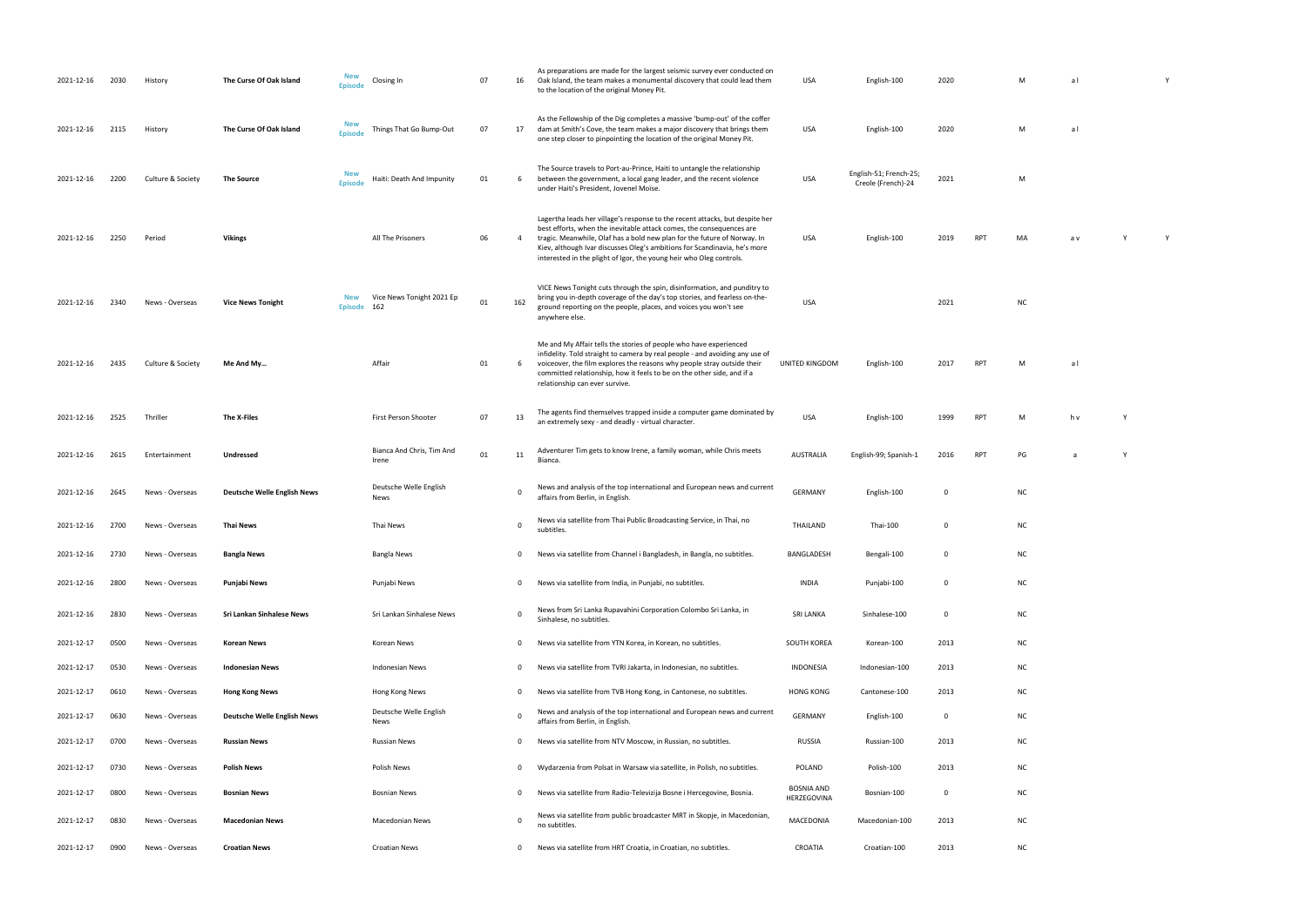| 2021-12-16 | 2030 | History           | The Curse Of Oak Island            | New<br><b>Episode</b>        | Closing In                         | 07 | 16           | As preparations are made for the largest seismic survey ever conducted on<br>Oak Island, the team makes a monumental discovery that could lead them<br>to the location of the original Money Pit.                                                                                                                                                                                    | USA                       | English-100                                  | 2020 |            | М         | al  |  |
|------------|------|-------------------|------------------------------------|------------------------------|------------------------------------|----|--------------|--------------------------------------------------------------------------------------------------------------------------------------------------------------------------------------------------------------------------------------------------------------------------------------------------------------------------------------------------------------------------------------|---------------------------|----------------------------------------------|------|------------|-----------|-----|--|
| 2021-12-16 | 2115 | History           | The Curse Of Oak Island            | <b>New</b><br><b>Episode</b> | Things That Go Bump-Out            | 07 | 17           | As the Fellowship of the Dig completes a massive 'bump-out' of the coffer<br>dam at Smith's Cove, the team makes a major discovery that brings them<br>one step closer to pinpointing the location of the original Money Pit.                                                                                                                                                        | USA                       | English-100                                  | 2020 |            | M         | al  |  |
| 2021-12-16 | 2200 | Culture & Society | <b>The Source</b>                  | <b>New</b><br><b>Episode</b> | Haiti: Death And Impunity          | 01 | 6            | The Source travels to Port-au-Prince, Haiti to untangle the relationship<br>between the government, a local gang leader, and the recent violence<br>under Haiti's President, Jovenel Moïse.                                                                                                                                                                                          | USA                       | English-51; French-25;<br>Creole (French)-24 | 2021 |            | M         |     |  |
| 2021-12-16 | 2250 | Period            | <b>Vikings</b>                     |                              | All The Prisoners                  | 06 | 4            | Lagertha leads her village's response to the recent attacks, but despite her<br>best efforts, when the inevitable attack comes, the consequences are<br>tragic. Meanwhile, Olaf has a bold new plan for the future of Norway. In<br>Kiev, although Ivar discusses Oleg's ambitions for Scandinavia, he's more<br>interested in the plight of Igor, the young heir who Oleg controls. | USA                       | English-100                                  | 2019 | <b>RPT</b> | MA        | a v |  |
| 2021-12-16 | 2340 | News - Overseas   | <b>Vice News Tonight</b>           | <b>New</b><br><b>Episode</b> | Vice News Tonight 2021 Ep<br>162   | 01 | 162          | VICE News Tonight cuts through the spin, disinformation, and punditry to<br>bring you in-depth coverage of the day's top stories, and fearless on-the-<br>ground reporting on the people, places, and voices you won't see<br>anywhere else.                                                                                                                                         | USA                       |                                              | 2021 |            | <b>NC</b> |     |  |
| 2021-12-16 | 2435 | Culture & Society | Me And My                          |                              | Affair                             | 01 |              | Me and My Affair tells the stories of people who have experienced<br>infidelity. Told straight to camera by real people - and avoiding any use of<br>voiceover, the film explores the reasons why people stray outside their<br>committed relationship, how it feels to be on the other side, and if a<br>relationship can ever survive.                                             | <b>UNITED KINGDOM</b>     | English-100                                  | 2017 | <b>RPT</b> | M         | al  |  |
| 2021-12-16 | 2525 | Thriller          | The X-Files                        |                              | First Person Shooter               | 07 | 13           | The agents find themselves trapped inside a computer game dominated by<br>an extremely sexy - and deadly - virtual character.                                                                                                                                                                                                                                                        | USA                       | English-100                                  | 1999 | <b>RPT</b> | M         | h v |  |
| 2021-12-16 | 2615 | Entertainment     | <b>Undressed</b>                   |                              | Bianca And Chris, Tim And<br>Irene | 01 | 11           | Adventurer Tim gets to know Irene, a family woman, while Chris meets<br>Bianca.                                                                                                                                                                                                                                                                                                      | AUSTRALIA                 | English-99; Spanish-1                        | 2016 | <b>RPT</b> | PG        | a   |  |
| 2021-12-16 | 2645 | News - Overseas   | <b>Deutsche Welle English News</b> |                              | Deutsche Welle English<br>News     |    | $\Omega$     | News and analysis of the top international and European news and current<br>affairs from Berlin, in English.                                                                                                                                                                                                                                                                         | <b>GERMANY</b>            | English-100                                  | 0    |            | <b>NC</b> |     |  |
| 2021-12-16 | 2700 | News - Overseas   | Thai News                          |                              | Thai News                          |    | 0            | News via satellite from Thai Public Broadcasting Service, in Thai, no<br>subtitles.                                                                                                                                                                                                                                                                                                  | THAILAND                  | Thai-100                                     | 0    |            | <b>NC</b> |     |  |
| 2021-12-16 | 2730 | News - Overseas   | <b>Bangla News</b>                 |                              | <b>Bangla News</b>                 |    | 0            | News via satellite from Channel i Bangladesh, in Bangla, no subtitles.                                                                                                                                                                                                                                                                                                               | <b>BANGLADESH</b>         | Bengali-100                                  | 0    |            | <b>NC</b> |     |  |
| 2021-12-16 | 2800 | News - Overseas   | Punjabi News                       |                              | Punjabi News                       |    | $\mathbf 0$  | News via satellite from India, in Punjabi, no subtitles.                                                                                                                                                                                                                                                                                                                             | <b>INDIA</b>              | Punjabi-100                                  | 0    |            | <b>NC</b> |     |  |
| 2021-12-16 | 2830 | News - Overseas   | Sri Lankan Sinhalese News          |                              | Sri Lankan Sinhalese News          |    | 0            | News from Sri Lanka Rupavahini Corporation Colombo Sri Lanka, in<br>Sinhalese, no subtitles.                                                                                                                                                                                                                                                                                         | <b>SRI LANKA</b>          | Sinhalese-100                                | 0    |            | <b>NC</b> |     |  |
| 2021-12-17 | 0500 | News - Overseas   | Korean News                        |                              | Korean News                        |    | 0            | News via satellite from YTN Korea, in Korean, no subtitles.                                                                                                                                                                                                                                                                                                                          | SOUTH KOREA               | Korean-100                                   | 2013 |            | <b>NC</b> |     |  |
| 2021-12-17 | 0530 | News - Overseas   | <b>Indonesian News</b>             |                              | <b>Indonesian News</b>             |    | $\mathbf{0}$ | News via satellite from TVRI Jakarta, in Indonesian, no subtitles.                                                                                                                                                                                                                                                                                                                   | INDONESIA                 | Indonesian-100                               | 2013 |            | <b>NC</b> |     |  |
| 2021-12-17 | 0610 | News - Overseas   | <b>Hong Kong News</b>              |                              | Hong Kong News                     |    | $\mathbf{0}$ | News via satellite from TVB Hong Kong, in Cantonese, no subtitles.                                                                                                                                                                                                                                                                                                                   | <b>HONG KONG</b>          | Cantonese-100                                | 2013 |            | <b>NC</b> |     |  |
| 2021-12-17 | 0630 | News - Overseas   | <b>Deutsche Welle English News</b> |                              | Deutsche Welle English<br>News     |    | 0            | News and analysis of the top international and European news and current<br>affairs from Berlin, in English.                                                                                                                                                                                                                                                                         | GERMANY                   | English-100                                  | 0    |            | <b>NC</b> |     |  |
| 2021-12-17 | 0700 | News - Overseas   | <b>Russian News</b>                |                              | <b>Russian News</b>                |    | 0            | News via satellite from NTV Moscow, in Russian, no subtitles.                                                                                                                                                                                                                                                                                                                        | RUSSIA                    | Russian-100                                  | 2013 |            | <b>NC</b> |     |  |
| 2021-12-17 | 0730 | News - Overseas   | <b>Polish News</b>                 |                              | Polish News                        |    | $\mathbf 0$  | Wydarzenia from Polsat in Warsaw via satellite, in Polish, no subtitles.                                                                                                                                                                                                                                                                                                             | POLAND                    | Polish-100                                   | 2013 |            | <b>NC</b> |     |  |
| 2021-12-17 | 0800 | News - Overseas   | <b>Bosnian News</b>                |                              | <b>Bosnian News</b>                |    | 0            | News via satellite from Radio-Televizija Bosne i Hercegovine, Bosnia.                                                                                                                                                                                                                                                                                                                | BOSNIA AND<br>HERZEGOVINA | Bosnian-100                                  | 0    |            | <b>NC</b> |     |  |
| 2021-12-17 | 0830 | News - Overseas   | <b>Macedonian News</b>             |                              | <b>Macedonian News</b>             |    | 0            | News via satellite from public broadcaster MRT in Skopje, in Macedonian,<br>no subtitles.                                                                                                                                                                                                                                                                                            | MACEDONIA                 | Macedonian-100                               | 2013 |            | <b>NC</b> |     |  |
| 2021-12-17 | 0900 | News - Overseas   | <b>Croatian News</b>               |                              | <b>Croatian News</b>               |    | 0            | News via satellite from HRT Croatia, in Croatian, no subtitles.                                                                                                                                                                                                                                                                                                                      | CROATIA                   | Croatian-100                                 | 2013 |            | <b>NC</b> |     |  |

| M | al | Υ |
|---|----|---|
|   |    |   |
|   |    |   |
|   |    |   |
| M | al |   |
|   |    |   |

 $\overline{C}$  2021 M

| MA | a v | Υ | Υ |
|----|-----|---|---|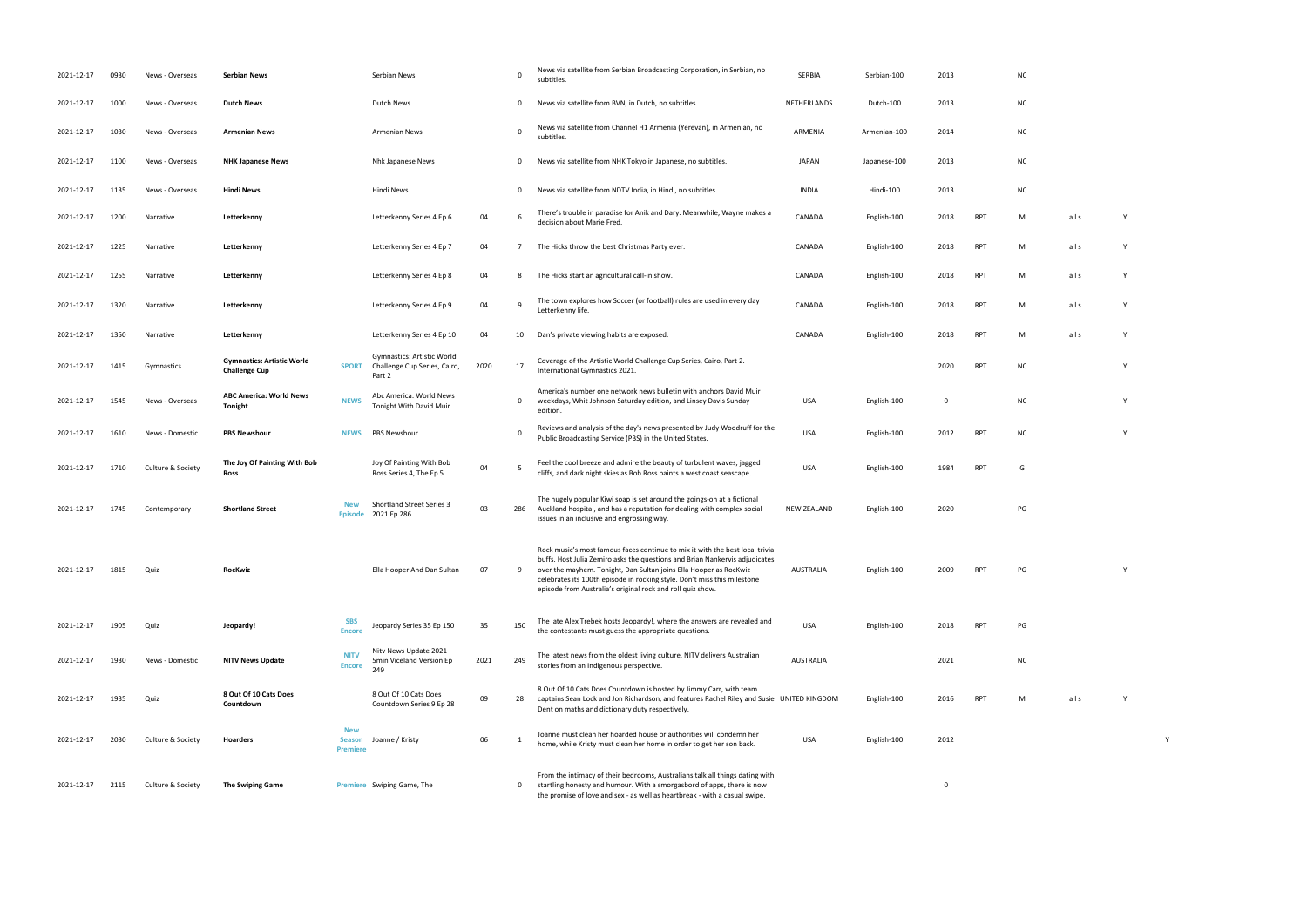| 2021-12-17 | 0930 | News - Overseas   | <b>Serbian News</b>                                       |                                                | Serbian News                                                         |      | $\mathbf 0$  | News via satellite from Serbian Broadcasting Corporation, in Serbian, no<br>subtitles                                                                                                                                                                                                                                                                                      | <b>SERBIA</b>    | Serbian-100  | 2013 |            | <b>NC</b> |     |   |   |
|------------|------|-------------------|-----------------------------------------------------------|------------------------------------------------|----------------------------------------------------------------------|------|--------------|----------------------------------------------------------------------------------------------------------------------------------------------------------------------------------------------------------------------------------------------------------------------------------------------------------------------------------------------------------------------------|------------------|--------------|------|------------|-----------|-----|---|---|
| 2021-12-17 | 1000 | News - Overseas   | Dutch News                                                |                                                | Dutch News                                                           |      | 0            | News via satellite from BVN, in Dutch, no subtitles.                                                                                                                                                                                                                                                                                                                       | NETHERLANDS      | Dutch-100    | 2013 |            | <b>NC</b> |     |   |   |
| 2021-12-17 | 1030 | News - Overseas   | <b>Armenian News</b>                                      |                                                | <b>Armenian News</b>                                                 |      | $\Omega$     | News via satellite from Channel H1 Armenia (Yerevan), in Armenian, no<br>subtitles                                                                                                                                                                                                                                                                                         | ARMENIA          | Armenian-100 | 2014 |            | <b>NC</b> |     |   |   |
| 2021-12-17 | 1100 | News - Overseas   | <b>NHK Japanese News</b>                                  |                                                | Nhk Japanese News                                                    |      | 0            | News via satellite from NHK Tokyo in Japanese, no subtitles.                                                                                                                                                                                                                                                                                                               | <b>JAPAN</b>     | Japanese-100 | 2013 |            | <b>NC</b> |     |   |   |
| 2021-12-17 | 1135 | News - Overseas   | <b>Hindi News</b>                                         |                                                | Hindi News                                                           |      | 0            | News via satellite from NDTV India, in Hindi, no subtitles.                                                                                                                                                                                                                                                                                                                | <b>INDIA</b>     | Hindi-100    | 2013 |            | <b>NC</b> |     |   |   |
| 2021-12-17 | 1200 | Narrative         | Letterkenny                                               |                                                | Letterkenny Series 4 Ep 6                                            | 04   | 6            | There's trouble in paradise for Anik and Dary. Meanwhile, Wayne makes a<br>decision about Marie Fred.                                                                                                                                                                                                                                                                      | CANADA           | English-100  | 2018 | RPT        | M         | als |   |   |
| 2021-12-17 | 1225 | Narrative         | Letterkenny                                               |                                                | Letterkenny Series 4 Ep 7                                            | 04   | -7           | The Hicks throw the best Christmas Party ever.                                                                                                                                                                                                                                                                                                                             | CANADA           | English-100  | 2018 | RPT        | M         | als |   |   |
| 2021-12-17 | 1255 | Narrative         | Letterkenny                                               |                                                | Letterkenny Series 4 Ep 8                                            | 04   | 8            | The Hicks start an agricultural call-in show.                                                                                                                                                                                                                                                                                                                              | CANADA           | English-100  | 2018 | RPT        | M         | als | Y |   |
| 2021-12-17 | 1320 | Narrative         | Letterkenny                                               |                                                | Letterkenny Series 4 Ep 9                                            | 04   | 9            | The town explores how Soccer (or football) rules are used in every day<br>Letterkenny life.                                                                                                                                                                                                                                                                                | CANADA           | English-100  | 2018 | <b>RPT</b> | M         | als |   |   |
| 2021-12-17 | 1350 | Narrative         | Letterkenny                                               |                                                | Letterkenny Series 4 Ep 10                                           | 04   | 10           | Dan's private viewing habits are exposed.                                                                                                                                                                                                                                                                                                                                  | CANADA           | English-100  | 2018 | RPT        | M         | als | Y |   |
| 2021-12-17 | 1415 | Gymnastics        | <b>Gymnastics: Artistic World</b><br><b>Challenge Cup</b> | <b>SPORT</b>                                   | Gymnastics: Artistic World<br>Challenge Cup Series, Cairo,<br>Part 2 | 2020 | 17           | Coverage of the Artistic World Challenge Cup Series, Cairo, Part 2.<br>International Gymnastics 2021.                                                                                                                                                                                                                                                                      |                  |              | 2020 | RPT        | NC        |     |   |   |
| 2021-12-17 | 1545 | News - Overseas   | <b>ABC America: World News</b><br>Tonight                 | <b>NEWS</b>                                    | Abc America: World News<br>Tonight With David Muir                   |      | 0            | America's number one network news bulletin with anchors David Muir<br>weekdays, Whit Johnson Saturday edition, and Linsey Davis Sunday<br>edition.                                                                                                                                                                                                                         | <b>USA</b>       | English-100  | - 0  |            | <b>NC</b> |     |   |   |
| 2021-12-17 | 1610 | News - Domestic   | <b>PBS Newshour</b>                                       | <b>NEWS</b>                                    | <b>PBS Newshour</b>                                                  |      | $\mathbf 0$  | Reviews and analysis of the day's news presented by Judy Woodruff for the<br>Public Broadcasting Service (PBS) in the United States.                                                                                                                                                                                                                                       | <b>USA</b>       | English-100  | 2012 | RPT        | <b>NC</b> |     | Y |   |
| 2021-12-17 | 1710 | Culture & Society | The Joy Of Painting With Bob<br>Ross                      |                                                | Joy Of Painting With Bob<br>Ross Series 4, The Ep 5                  | 04   | - 5          | Feel the cool breeze and admire the beauty of turbulent waves, jagged<br>cliffs, and dark night skies as Bob Ross paints a west coast seascape.                                                                                                                                                                                                                            | USA              | English-100  | 1984 | RPT        | G         |     |   |   |
| 2021-12-17 | 1745 | Contemporary      | <b>Shortland Street</b>                                   | New<br><b>Episode</b>                          | Shortland Street Series 3<br>2021 Ep 286                             | 03   | 286          | The hugely popular Kiwi soap is set around the goings-on at a fictional<br>Auckland hospital, and has a reputation for dealing with complex social<br>issues in an inclusive and engrossing way.                                                                                                                                                                           | NEW ZEALAND      | English-100  | 2020 |            | PG        |     |   |   |
| 2021-12-17 | 1815 | Quiz              | RocKwiz                                                   |                                                | Ella Hooper And Dan Sultan                                           | 07   | 9            | Rock music's most famous faces continue to mix it with the best local trivia<br>buffs. Host Julia Zemiro asks the questions and Brian Nankervis adjudicates<br>over the mayhem. Tonight, Dan Sultan joins Ella Hooper as RocKwiz<br>celebrates its 100th episode in rocking style. Don't miss this milestone<br>episode from Australia's original rock and roll quiz show. | <b>AUSTRALIA</b> | English-100  | 2009 |            | PG        |     |   |   |
| 2021-12-17 | 1905 | Quiz              | Jeopardy!                                                 | <b>SBS</b><br><b>Encore</b>                    | Jeopardy Series 35 Ep 150                                            | 35   | 150          | The late Alex Trebek hosts Jeopardy!, where the answers are revealed and<br>the contestants must guess the appropriate questions.                                                                                                                                                                                                                                          | <b>USA</b>       | English-100  | 2018 | RPT        | PG        |     |   |   |
| 2021-12-17 | 1930 | News - Domestic   | <b>NITV News Update</b>                                   | <b>NITV</b><br><b>Encore</b>                   | Nitv News Update 2021<br>5min Viceland Version Ep<br>249             | 2021 | 249          | The latest news from the oldest living culture, NITV delivers Australian<br>stories from an Indigenous perspective.                                                                                                                                                                                                                                                        | AUSTRALIA        |              | 2021 |            | <b>NC</b> |     |   |   |
| 2021-12-17 | 1935 | Quiz              | 8 Out Of 10 Cats Does<br>Countdown                        |                                                | 8 Out Of 10 Cats Does<br>Countdown Series 9 Ep 28                    | 09   | 28           | 8 Out Of 10 Cats Does Countdown is hosted by Jimmy Carr, with team<br>captains Sean Lock and Jon Richardson, and features Rachel Riley and Susie UNITED KINGDOM<br>Dent on maths and dictionary duty respectively.                                                                                                                                                         |                  | English-100  | 2016 | RPT        | M         | als | Y |   |
| 2021-12-17 | 2030 | Culture & Society | Hoarders                                                  | <b>New</b><br><b>Season</b><br><b>Premiere</b> | Joanne / Kristy                                                      | 06   | 1            | Joanne must clean her hoarded house or authorities will condemn her<br>home, while Kristy must clean her home in order to get her son back.                                                                                                                                                                                                                                | <b>USA</b>       | English-100  | 2012 |            |           |     |   | Y |
| 2021-12-17 | 2115 | Culture & Society | <b>The Swiping Game</b>                                   |                                                | Premiere Swiping Game, The                                           |      | $\mathbf{0}$ | From the intimacy of their bedrooms, Australians talk all things dating with<br>startling honesty and humour. With a smorgasbord of apps, there is now<br>the promise of love and sex - as well as heartbreak - with a casual swipe.                                                                                                                                       |                  |              | 0    |            |           |     |   |   |

| <b>NC</b>               |                                        |   |
|-------------------------|----------------------------------------|---|
| <b>NC</b>               |                                        |   |
| <b>NC</b>               |                                        |   |
| <b>NC</b>               |                                        |   |
| <b>NC</b>               |                                        |   |
| $\overline{\mathsf{M}}$ | a   s                                  | Y |
| M                       | $a \mid s$                             | Y |
| M                       | als                                    | Υ |
| M                       | a   s                                  | Y |
| M                       | $\mathsf{a}\, \mathsf{l}\, \mathsf{s}$ | Y |
| <b>NC</b>               |                                        | Y |
| <b>NC</b>               |                                        | Y |
| <b>NC</b>               |                                        | Υ |
| G                       |                                        |   |
| PG                      |                                        |   |
| PG                      |                                        | Υ |
| PG                      |                                        |   |
| <b>NC</b>               |                                        |   |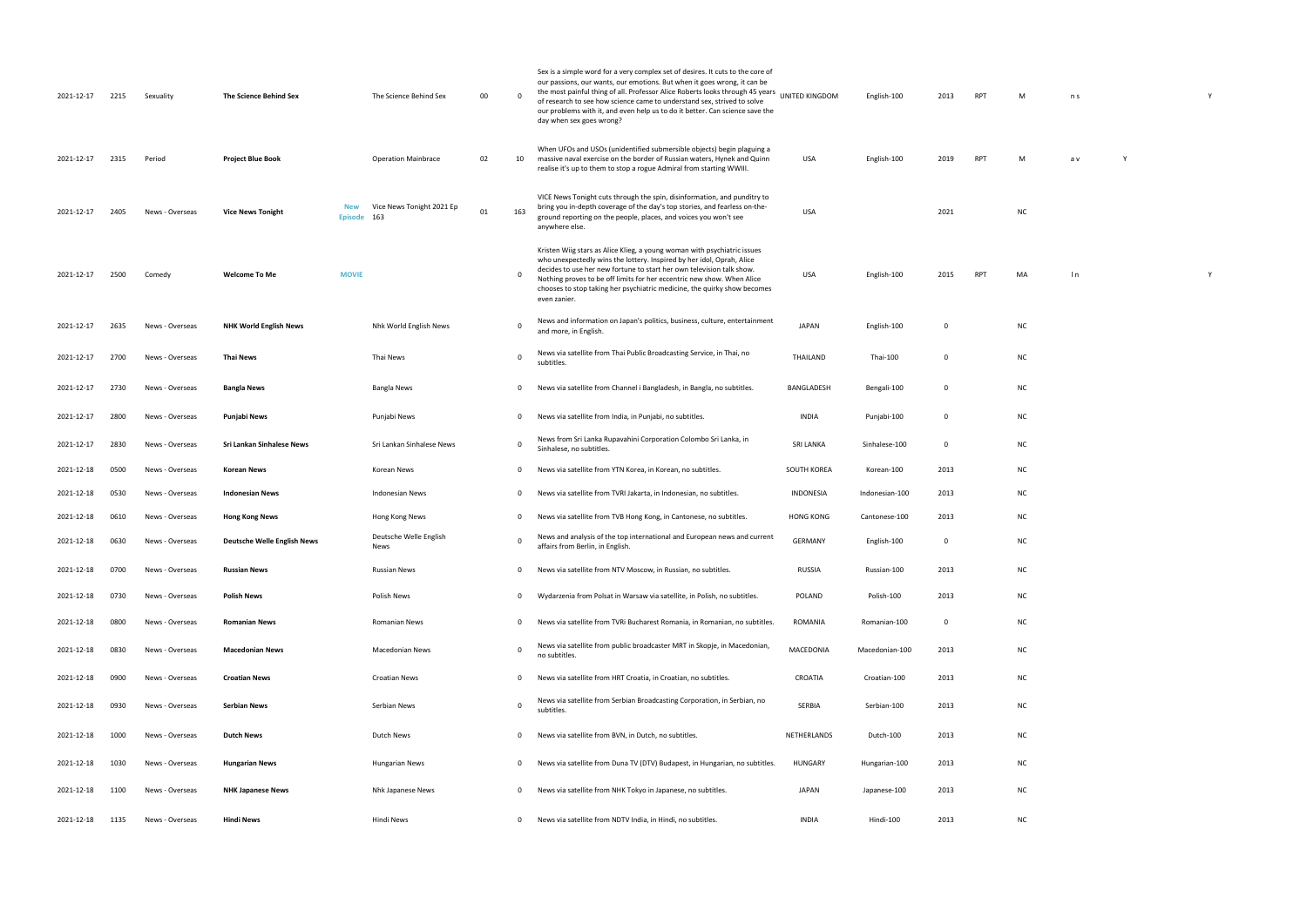| 2021-12-17 | 2215 | Sexuality       | The Science Behind Sex             |                       | The Science Behind Sex           | 00 | $\Omega$     | Sex is a simple word for a very complex set of desires. It cuts to the core of<br>our passions, our wants, our emotions. But when it goes wrong, it can be<br>the most painful thing of all. Professor Alice Roberts looks through 45 years<br>UNITED KINGDOM<br>of research to see how science came to understand sex, strived to solve<br>our problems with it, and even help us to do it better. Can science save the<br>day when sex goes wrong? |                  | English-100    | 2013         | <b>RPT</b> | M         | n s |
|------------|------|-----------------|------------------------------------|-----------------------|----------------------------------|----|--------------|------------------------------------------------------------------------------------------------------------------------------------------------------------------------------------------------------------------------------------------------------------------------------------------------------------------------------------------------------------------------------------------------------------------------------------------------------|------------------|----------------|--------------|------------|-----------|-----|
| 2021-12-17 | 2315 | Period          | <b>Project Blue Book</b>           |                       | <b>Operation Mainbrace</b>       | 02 | 10           | When UFOs and USOs (unidentified submersible objects) begin plaguing a<br>massive naval exercise on the border of Russian waters, Hynek and Quinn<br>realise it's up to them to stop a rogue Admiral from starting WWIII                                                                                                                                                                                                                             | USA              | English-100    | 2019         | <b>RPT</b> | M         | a v |
| 2021-12-17 | 2405 | News - Overseas | <b>Vice News Tonight</b>           | New<br><b>Episode</b> | Vice News Tonight 2021 Ep<br>163 | 01 | 163          | VICE News Tonight cuts through the spin, disinformation, and punditry to<br>bring you in-depth coverage of the day's top stories, and fearless on-the-<br>ground reporting on the people, places, and voices you won't see<br>anywhere else.                                                                                                                                                                                                         | USA              |                | 2021         |            | <b>NC</b> |     |
| 2021-12-17 | 2500 | Comedy          | <b>Welcome To Me</b>               | <b>MOVIE</b>          |                                  |    | $\mathbf 0$  | Kristen Wiig stars as Alice Klieg, a young woman with psychiatric issues<br>who unexpectedly wins the lottery. Inspired by her idol, Oprah, Alice<br>decides to use her new fortune to start her own television talk show.<br>Nothing proves to be off limits for her eccentric new show. When Alice<br>chooses to stop taking her psychiatric medicine, the quirky show becomes<br>even zanier.                                                     | USA              | English-100    | 2015         | <b>RPT</b> | MA        | l n |
| 2021-12-17 | 2635 | News - Overseas | <b>NHK World English News</b>      |                       | Nhk World English News           |    | $\mathbf 0$  | News and information on Japan's politics, business, culture, entertainment<br>and more, in English.                                                                                                                                                                                                                                                                                                                                                  | <b>JAPAN</b>     | English-100    | $\mathbf{0}$ |            | ΝC        |     |
| 2021-12-17 | 2700 | News - Overseas | <b>Thai News</b>                   |                       | Thai News                        |    | $\mathbf 0$  | News via satellite from Thai Public Broadcasting Service, in Thai, no<br>subtitles.                                                                                                                                                                                                                                                                                                                                                                  | THAILAND         | Thai-100       | $\mathbf 0$  |            | <b>NC</b> |     |
| 2021-12-17 | 2730 | News - Overseas | <b>Bangla News</b>                 |                       | Bangla News                      |    | 0            | News via satellite from Channel i Bangladesh, in Bangla, no subtitles.                                                                                                                                                                                                                                                                                                                                                                               | BANGLADESH       | Bengali-100    | $\mathbf{0}$ |            | NC        |     |
| 2021-12-17 | 2800 | News - Overseas | Punjabi News                       |                       | Punjabi News                     |    | $\mathbf 0$  | News via satellite from India, in Punjabi, no subtitles.                                                                                                                                                                                                                                                                                                                                                                                             | <b>INDIA</b>     | Punjabi-100    | $\mathbf{0}$ |            | NC        |     |
| 2021-12-17 | 2830 | News - Overseas | Sri Lankan Sinhalese News          |                       | Sri Lankan Sinhalese News        |    | 0            | News from Sri Lanka Rupavahini Corporation Colombo Sri Lanka, in<br>Sinhalese, no subtitles.                                                                                                                                                                                                                                                                                                                                                         | <b>SRI LANKA</b> | Sinhalese-100  | $\mathbf{0}$ |            | NC        |     |
| 2021-12-18 | 0500 | News - Overseas | Korean News                        |                       | Korean News                      |    | 0            | News via satellite from YTN Korea, in Korean, no subtitles.                                                                                                                                                                                                                                                                                                                                                                                          | SOUTH KOREA      | Korean-100     | 2013         |            | NC        |     |
| 2021-12-18 | 0530 | News - Overseas | <b>Indonesian News</b>             |                       | <b>Indonesian News</b>           |    | $\mathbf{0}$ | News via satellite from TVRI Jakarta, in Indonesian, no subtitles.                                                                                                                                                                                                                                                                                                                                                                                   | <b>INDONESIA</b> | Indonesian-100 | 2013         |            | ΝC        |     |
| 2021-12-18 | 0610 | News - Overseas | <b>Hong Kong News</b>              |                       | Hong Kong News                   |    | $\mathbf{0}$ | News via satellite from TVB Hong Kong, in Cantonese, no subtitles.                                                                                                                                                                                                                                                                                                                                                                                   | <b>HONG KONG</b> | Cantonese-100  | 2013         |            | NC        |     |
| 2021-12-18 | 0630 | News - Overseas | <b>Deutsche Welle English News</b> |                       | Deutsche Welle English<br>News   |    | $\Omega$     | News and analysis of the top international and European news and current<br>affairs from Berlin, in English.                                                                                                                                                                                                                                                                                                                                         | <b>GERMANY</b>   | English-100    | $\mathbf 0$  |            | ΝC        |     |
| 2021-12-18 | 0700 | News - Overseas | <b>Russian News</b>                |                       | <b>Russian News</b>              |    | $\mathbf 0$  | News via satellite from NTV Moscow, in Russian, no subtitles.                                                                                                                                                                                                                                                                                                                                                                                        | <b>RUSSIA</b>    | Russian-100    | 2013         |            | NC        |     |
| 2021-12-18 | 0730 | News - Overseas | <b>Polish News</b>                 |                       | Polish News                      |    | $\mathbf{0}$ | Wydarzenia from Polsat in Warsaw via satellite, in Polish, no subtitles.                                                                                                                                                                                                                                                                                                                                                                             | POLAND           | Polish-100     | 2013         |            | NC        |     |
| 2021-12-18 | 0800 | News - Overseas | <b>Romanian News</b>               |                       | <b>Romanian News</b>             |    | $\mathbf 0$  | News via satellite from TVRi Bucharest Romania, in Romanian, no subtitles.                                                                                                                                                                                                                                                                                                                                                                           | ROMANIA          | Romanian-100   | $\mathbf{0}$ |            | <b>NC</b> |     |
| 2021-12-18 | 0830 | News - Overseas | <b>Macedonian News</b>             |                       | <b>Macedonian News</b>           |    | $\mathbf 0$  | News via satellite from public broadcaster MRT in Skopje, in Macedonian,<br>no subtitles.                                                                                                                                                                                                                                                                                                                                                            | MACEDONIA        | Macedonian-100 | 2013         |            | NC        |     |
| 2021-12-18 | 0900 | News - Overseas | <b>Croatian News</b>               |                       | Croatian News                    |    | 0            | News via satellite from HRT Croatia, in Croatian, no subtitles.                                                                                                                                                                                                                                                                                                                                                                                      | CROATIA          | Croatian-100   | 2013         |            | NC        |     |
| 2021-12-18 | 0930 | News - Overseas | <b>Serbian News</b>                |                       | Serbian News                     |    | 0            | News via satellite from Serbian Broadcasting Corporation, in Serbian, no<br>subtitles.                                                                                                                                                                                                                                                                                                                                                               | SERBIA           | Serbian-100    | 2013         |            | NC        |     |
| 2021-12-18 | 1000 | News - Overseas | <b>Dutch News</b>                  |                       | Dutch News                       |    | 0            | News via satellite from BVN, in Dutch, no subtitles.                                                                                                                                                                                                                                                                                                                                                                                                 | NETHERLANDS      | Dutch-100      | 2013         |            | <b>NC</b> |     |
| 2021-12-18 | 1030 | News - Overseas | <b>Hungarian News</b>              |                       | Hungarian News                   |    | 0            | News via satellite from Duna TV (DTV) Budapest, in Hungarian, no subtitles.                                                                                                                                                                                                                                                                                                                                                                          | <b>HUNGARY</b>   | Hungarian-100  | 2013         |            | <b>NC</b> |     |
| 2021-12-18 | 1100 | News - Overseas | <b>NHK Japanese News</b>           |                       | Nhk Japanese News                |    | $\mathbf 0$  | News via satellite from NHK Tokyo in Japanese, no subtitles.                                                                                                                                                                                                                                                                                                                                                                                         | <b>JAPAN</b>     | Japanese-100   | 2013         |            | <b>NC</b> |     |
| 2021-12-18 | 1135 | News - Overseas | <b>Hindi News</b>                  |                       | Hindi News                       |    | $\mathbf 0$  | News via satellite from NDTV India, in Hindi, no subtitles.                                                                                                                                                                                                                                                                                                                                                                                          | <b>INDIA</b>     | Hindi-100      | 2013         |            | NC        |     |

| M        | n <sub>s</sub> |             | Y |
|----------|----------------|-------------|---|
|          |                |             |   |
| M        | a v            | $\mathsf Y$ |   |
| NC       |                |             |   |
| MA       | $\ln$          |             | Y |
| NC       |                |             |   |
| NC       |                |             |   |
| NC       |                |             |   |
| NC       |                |             |   |
| NC       |                |             |   |
| NC       |                |             |   |
| NC       |                |             |   |
| NC       |                |             |   |
| NC       |                |             |   |
| NC       |                |             |   |
| NC       |                |             |   |
| NC       |                |             |   |
| NC       |                |             |   |
| NC       |                |             |   |
| NC       |                |             |   |
| NC       |                |             |   |
| NC       |                |             |   |
| NC       |                |             |   |
| $N \cap$ |                |             |   |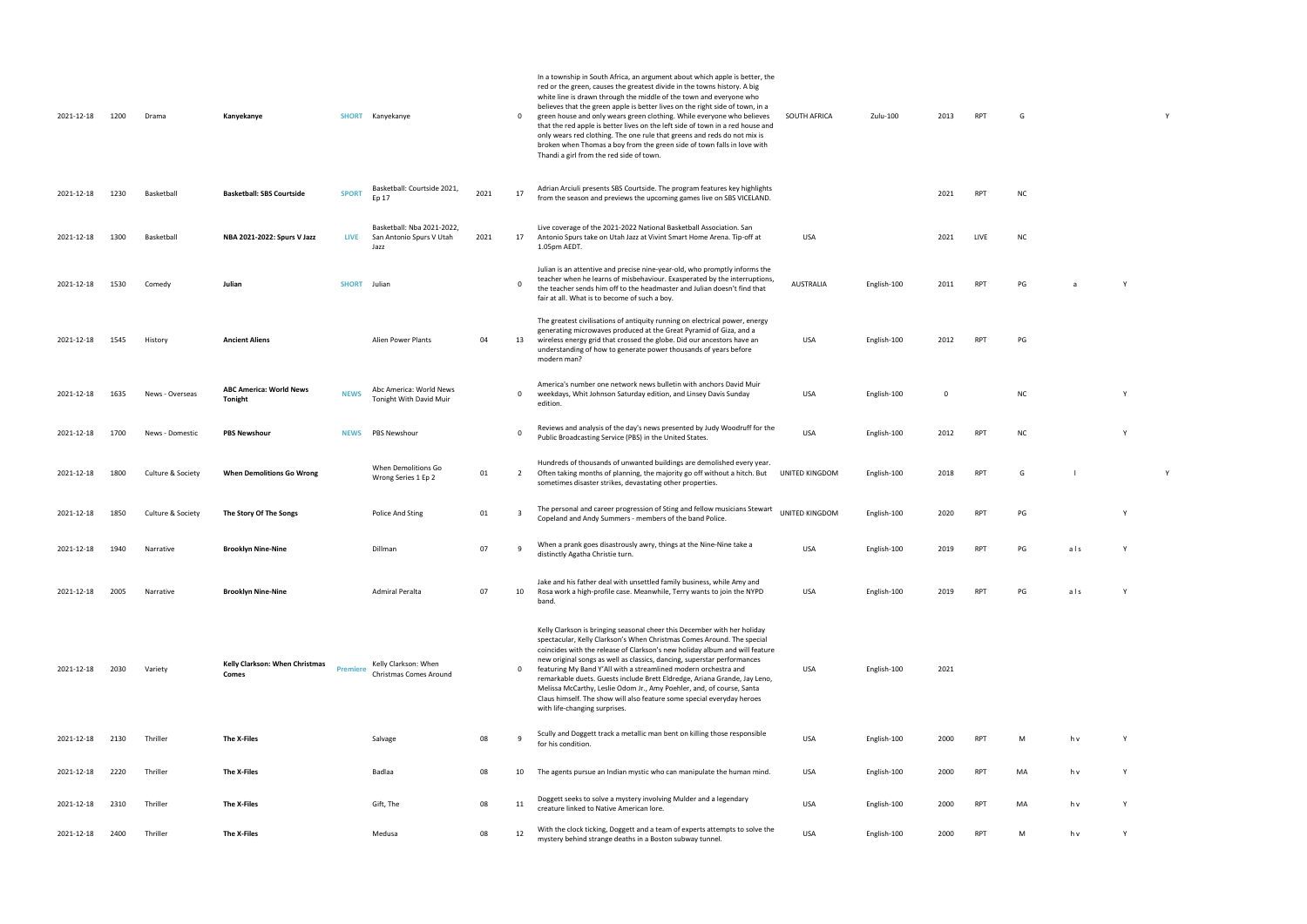|   |  | Y |  |
|---|--|---|--|
| G |  |   |  |
|   |  |   |  |
|   |  |   |  |

| ИC |  |  |  |
|----|--|--|--|

| E | <b>NC</b> |  |
|---|-----------|--|
|   |           |  |
|   |           |  |

| . . |  |
|-----|--|
|     |  |
|     |  |
|     |  |
|     |  |
|     |  |
|     |  |
|     |  |
|     |  |

| PG |  |  |  |
|----|--|--|--|
|    |  |  |  |

| <b>NC</b> | Υ |
|-----------|---|
| <b>NC</b> | Υ |

```
UNITED STATES RESERVED AND RESERVED AT A VALUE OF A VALUE OF A VALUE OF A VALUE OF A VALUE OF A VALUE OF A VALUE OF A VALUE OF A VALUE OF A VALUE OF A VALUE OF A VALUE OF A VALUE OF A VALUE OF A VALUE OF A VALUE OF A VALUE
```

| PG |     | Υ |
|----|-----|---|
|    |     |   |
| PG | als | Υ |

$$
M \qquad \qquad h \vee \qquad \qquad Y
$$

| 2021-12-18 | 1200 | Drama             | Kanyekanye                                       | <b>SHORT</b>    | Kanyekanye                                                     |      | $\mathbf{0}$            | In a township in South Africa, an argument about which apple is better, the<br>red or the green, causes the greatest divide in the towns history. A big<br>white line is drawn through the middle of the town and everyone who<br>believes that the green apple is better lives on the right side of town, in a<br>green house and only wears green clothing. While everyone who believes<br>that the red apple is better lives on the left side of town in a red house and<br>only wears red clothing. The one rule that greens and reds do not mix is<br>broken when Thomas a boy from the green side of town falls in love with<br>Thandi a girl from the red side of town. | SOUTH AFRICA   | Zulu-100    | 2013        | RPT             | G         |     |   |  |
|------------|------|-------------------|--------------------------------------------------|-----------------|----------------------------------------------------------------|------|-------------------------|--------------------------------------------------------------------------------------------------------------------------------------------------------------------------------------------------------------------------------------------------------------------------------------------------------------------------------------------------------------------------------------------------------------------------------------------------------------------------------------------------------------------------------------------------------------------------------------------------------------------------------------------------------------------------------|----------------|-------------|-------------|-----------------|-----------|-----|---|--|
| 2021-12-18 | 1230 | Basketball        | <b>Basketball: SBS Courtside</b>                 | <b>SPORT</b>    | Basketball: Courtside 2021,<br>Ep 17                           | 2021 | 17                      | Adrian Arciuli presents SBS Courtside. The program features key highlights<br>from the season and previews the upcoming games live on SBS VICELAND.                                                                                                                                                                                                                                                                                                                                                                                                                                                                                                                            |                |             | 2021        | RPT             | NC        |     |   |  |
| 2021-12-18 | 1300 | Basketball        | NBA 2021-2022: Spurs V Jazz                      | <b>LIVE</b>     | Basketball: Nba 2021-2022,<br>San Antonio Spurs V Utah<br>Jazz | 2021 | 17                      | Live coverage of the 2021-2022 National Basketball Association. San<br>Antonio Spurs take on Utah Jazz at Vivint Smart Home Arena. Tip-off at<br>1.05pm AEDT.                                                                                                                                                                                                                                                                                                                                                                                                                                                                                                                  | USA            |             | 2021        | LIVE            | <b>NC</b> |     |   |  |
| 2021-12-18 | 1530 | Comedy            | Julian                                           | <b>SHORT</b>    | Julian                                                         |      | $\Omega$                | Julian is an attentive and precise nine-year-old, who promptly informs the<br>teacher when he learns of misbehaviour. Exasperated by the interruptions,<br>the teacher sends him off to the headmaster and Julian doesn't find that<br>fair at all. What is to become of such a boy.                                                                                                                                                                                                                                                                                                                                                                                           | AUSTRALIA      | English-100 | 2011        | <b>RPT</b>      | PG        | a   | Y |  |
| 2021-12-18 | 1545 | History           | <b>Ancient Aliens</b>                            |                 | Alien Power Plants                                             | 04   | 13                      | The greatest civilisations of antiquity running on electrical power, energy<br>generating microwaves produced at the Great Pyramid of Giza, and a<br>wireless energy grid that crossed the globe. Did our ancestors have an<br>understanding of how to generate power thousands of years before<br>modern man?                                                                                                                                                                                                                                                                                                                                                                 | USA            | English-100 | 2012        | RPT             | PG        |     |   |  |
| 2021-12-18 | 1635 | News - Overseas   | <b>ABC America: World News</b><br><b>Tonight</b> | <b>NEWS</b>     | Abc America: World News<br>Tonight With David Muir             |      | $\mathbf 0$             | America's number one network news bulletin with anchors David Muir<br>weekdays, Whit Johnson Saturday edition, and Linsey Davis Sunday<br>edition.                                                                                                                                                                                                                                                                                                                                                                                                                                                                                                                             | USA            | English-100 | $\mathbf 0$ |                 | <b>NC</b> |     | Y |  |
| 2021-12-18 | 1700 | News - Domestic   | <b>PBS Newshour</b>                              | <b>NEWS</b>     | PBS Newshour                                                   |      | $\overline{\mathbf{0}}$ | Reviews and analysis of the day's news presented by Judy Woodruff for the<br>Public Broadcasting Service (PBS) in the United States.                                                                                                                                                                                                                                                                                                                                                                                                                                                                                                                                           | <b>USA</b>     | English-100 | 2012        | <b>RPT</b>      | <b>NC</b> |     | Y |  |
| 2021-12-18 | 1800 | Culture & Society | <b>When Demolitions Go Wrong</b>                 |                 | When Demolitions Go<br>Wrong Series 1 Ep 2                     | 01   | $\overline{2}$          | Hundreds of thousands of unwanted buildings are demolished every year.<br>Often taking months of planning, the majority go off without a hitch. But<br>sometimes disaster strikes, devastating other properties.                                                                                                                                                                                                                                                                                                                                                                                                                                                               | UNITED KINGDOM | English-100 | 2018        | RPT             | G         |     |   |  |
| 2021-12-18 | 1850 | Culture & Society | The Story Of The Songs                           |                 | Police And Sting                                               | 01   | $\overline{\mathbf{3}}$ | The personal and career progression of Sting and fellow musicians Stewart<br>Copeland and Andy Summers - members of the band Police.                                                                                                                                                                                                                                                                                                                                                                                                                                                                                                                                           | UNITED KINGDOM | English-100 | 2020        | <b>RPT</b>      | PG        |     | Y |  |
| 2021-12-18 | 1940 | Narrative         | <b>Brooklyn Nine-Nine</b>                        |                 | Dillman                                                        | 07   |                         | When a prank goes disastrously awry, things at the Nine-Nine take a<br>distinctly Agatha Christie turn.                                                                                                                                                                                                                                                                                                                                                                                                                                                                                                                                                                        | <b>USA</b>     | English-100 | 2019        | RP <sub>1</sub> | PG        | als | Y |  |
| 2021-12-18 | 2005 | Narrative         | <b>Brooklyn Nine-Nine</b>                        |                 | Admiral Peralta                                                | 07   | 10                      | Jake and his father deal with unsettled family business, while Amy and<br>Rosa work a high-profile case. Meanwhile, Terry wants to join the NYPD<br>band.                                                                                                                                                                                                                                                                                                                                                                                                                                                                                                                      | USA            | English-100 | 2019        | RPT             | PG        | als | Y |  |
| 2021-12-18 | 2030 | Variety           | Kelly Clarkson: When Christmas<br>Comes          | <b>Premiere</b> | Kelly Clarkson: When<br>Christmas Comes Around                 |      | $\mathbf{0}$            | Kelly Clarkson is bringing seasonal cheer this December with her holiday<br>spectacular, Kelly Clarkson's When Christmas Comes Around. The special<br>coincides with the release of Clarkson's new holiday album and will feature<br>new original songs as well as classics, dancing, superstar performances<br>featuring My Band Y'All with a streamlined modern orchestra and<br>remarkable duets. Guests include Brett Eldredge, Ariana Grande, Jay Leno,<br>Melissa McCarthy, Leslie Odom Jr., Amy Poehler, and, of course, Santa<br>Claus himself. The show will also feature some special everyday heroes<br>with life-changing surprises.                               | USA            | English-100 | 2021        |                 |           |     |   |  |
| 2021-12-18 | 2130 | Thriller          | The X-Files                                      |                 | Salvage                                                        | 08   | $\overline{q}$          | Scully and Doggett track a metallic man bent on killing those responsible<br>for his condition.                                                                                                                                                                                                                                                                                                                                                                                                                                                                                                                                                                                | <b>USA</b>     | English-100 | 2000        | <b>RPT</b>      | M         | h v | Y |  |
| 2021-12-18 | 2220 | Thriller          | The X-Files                                      |                 | Badlaa                                                         | 08   | 10                      | The agents pursue an Indian mystic who can manipulate the human mind.                                                                                                                                                                                                                                                                                                                                                                                                                                                                                                                                                                                                          | USA            | English-100 | 2000        | RPT             | MA        | h v | Y |  |
| 2021-12-18 | 2310 | Thriller          | The X-Files                                      |                 | Gift, The                                                      | 08   | 11                      | Doggett seeks to solve a mystery involving Mulder and a legendary<br>creature linked to Native American lore.                                                                                                                                                                                                                                                                                                                                                                                                                                                                                                                                                                  | <b>USA</b>     | English-100 | 2000        | RPT             | MA        | h v | Y |  |
| 2021-12-18 | 2400 | Thriller          | The X-Files                                      |                 | Medusa                                                         | 08   | 12                      | With the clock ticking, Doggett and a team of experts attempts to solve the<br>mystery behind strange deaths in a Boston subway tunnel.                                                                                                                                                                                                                                                                                                                                                                                                                                                                                                                                        | <b>USA</b>     | English-100 | 2000        | RPT             | M         | h v | Y |  |